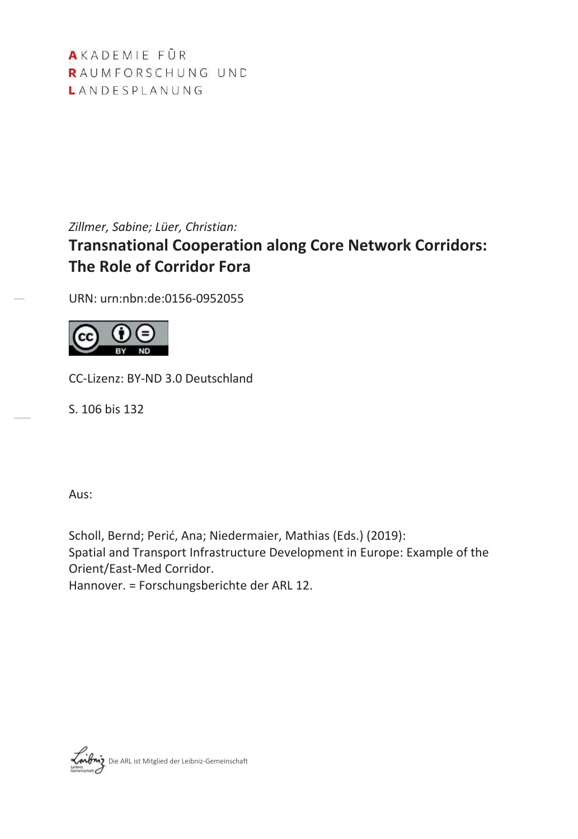AKADEMIE FÜR RAUMFORSCHUNG UND LANDESPLANUNG

*Zillmer, Sabine; Lüer, Christian:*

# **Transnational Cooperation along Core Network Corridors: The Role of Corridor Fora**

URN: urn:nbn:de:0156-0952055



CC-Lizenz: BY-ND 3.0 Deutschland

S. 106 bis 132

Aus:

Scholl, Bernd; Perić, Ana; Niedermaier, Mathias (Eds.) (2019): Spatial and Transport Infrastructure Development in Europe: Example of the Orient/East-Med Corridor.

Hannover. = Forschungsberichte der ARL 12.

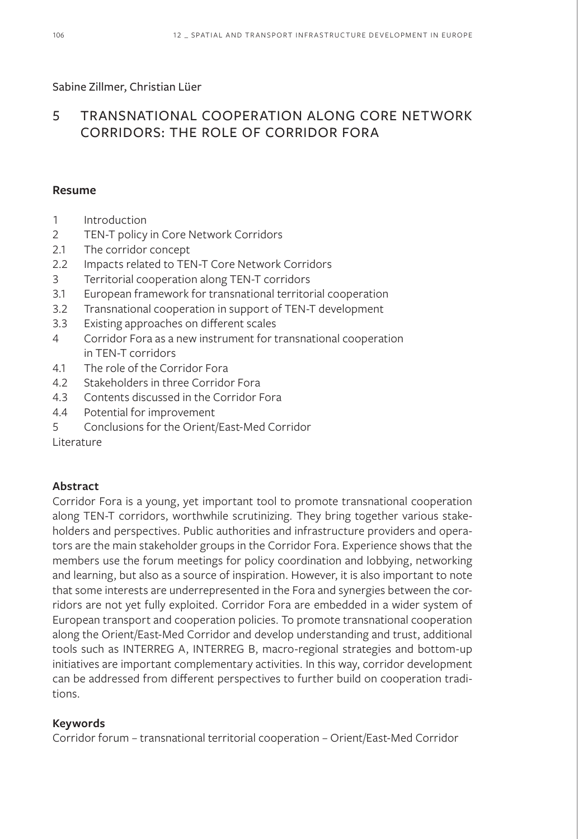#### Sabine Zillmer, Christian Lüer

# 5 TRANSNATIONAL COOPERATION ALONG CORE NETWORK CORRIDORS: THE ROLE OF CORRIDOR FORA

#### **Resume**

- 1 Introduction
- 2 TEN-T policy in Core Network Corridors
- 2.1 The corridor concept
- 2.2 Impacts related to TEN-T Core Network Corridors
- 3 Territorial cooperation along TEN-T corridors
- 3.1 European framework for transnational territorial cooperation
- 3.2 Transnational cooperation in support of TEN-T development
- 3.3 Existing approaches on different scales
- 4 Corridor Fora as a new instrument for transnational cooperation in TEN-T corridors
- 4.1 The role of the Corridor Fora
- 4.2 Stakeholders in three Corridor Fora
- 4.3 Contents discussed in the Corridor Fora
- 4.4 Potential for improvement
- 5 Conclusions for the Orient/East-Med Corridor

Literature

## **Abstract**

Corridor Fora is a young, yet important tool to promote transnational cooperation along TEN-T corridors, worthwhile scrutinizing. They bring together various stakeholders and perspectives. Public authorities and infrastructure providers and operators are the main stakeholder groups in the Corridor Fora. Experience shows that the members use the forum meetings for policy coordination and lobbying, networking and learning, but also as a source of inspiration. However, it is also important to note that some interests are underrepresented in the Fora and synergies between the corridors are not yet fully exploited. Corridor Fora are embedded in a wider system of European transport and cooperation policies. To promote transnational cooperation along the Orient/East-Med Corridor and develop understanding and trust, additional tools such as INTERREG A, INTERREG B, macro-regional strategies and bottom-up initiatives are important complementary activities. In this way, corridor development can be addressed from different perspectives to further build on cooperation traditions.

#### **Keywords**

Corridor forum – transnational territorial cooperation – Orient/East-Med Corridor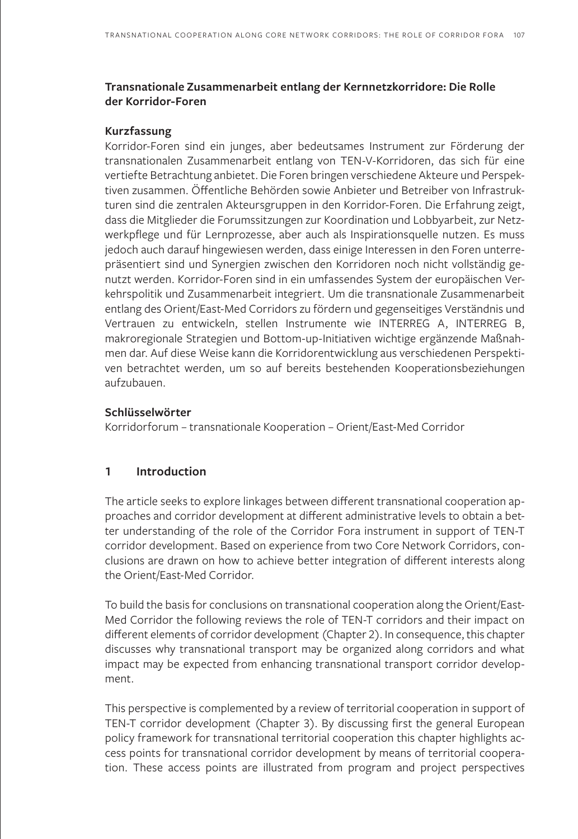#### **Transnationale Zusammenarbeit entlang der Kernnetzkorridore: Die Rolle der Korridor-Foren**

#### **Kurzfassung**

Korridor-Foren sind ein junges, aber bedeutsames Instrument zur Förderung der transnationalen Zusammenarbeit entlang von TEN-V-Korridoren, das sich für eine vertiefte Betrachtung anbietet. Die Foren bringen verschiedene Akteure und Perspektiven zusammen. Öffentliche Behörden sowie Anbieter und Betreiber von Infrastrukturen sind die zentralen Akteursgruppen in den Korridor-Foren. Die Erfahrung zeigt, dass die Mitglieder die Forumssitzungen zur Koordination und Lobbyarbeit, zur Netzwerkpflege und für Lernprozesse, aber auch als Inspirationsquelle nutzen. Es muss jedoch auch darauf hingewiesen werden, dass einige Interessen in den Foren unterrepräsentiert sind und Synergien zwischen den Korridoren noch nicht vollständig genutzt werden. Korridor-Foren sind in ein umfassendes System der europäischen Verkehrspolitik und Zusammenarbeit integriert. Um die transnationale Zusammenarbeit entlang des Orient/East-Med Corridors zu fördern und gegenseitiges Verständnis und Vertrauen zu entwickeln, stellen Instrumente wie INTERREG A, INTERREG B, makroregionale Strategien und Bottom-up-Initiativen wichtige ergänzende Maßnahmen dar. Auf diese Weise kann die Korridorentwicklung aus verschiedenen Perspektiven betrachtet werden, um so auf bereits bestehenden Kooperationsbeziehungen aufzubauen.

#### **Schlüsselwörter**

Korridorforum – transnationale Kooperation – Orient/East-Med Corridor

#### **1 Introduction**

The article seeks to explore linkages between different transnational cooperation approaches and corridor development at different administrative levels to obtain a better understanding of the role of the Corridor Fora instrument in support of TEN-T corridor development. Based on experience from two Core Network Corridors, conclusions are drawn on how to achieve better integration of different interests along the Orient/East-Med Corridor.

To build the basis for conclusions on transnational cooperation along the Orient/East-Med Corridor the following reviews the role of TEN-T corridors and their impact on different elements of corridor development (Chapter 2). In consequence, this chapter discusses why transnational transport may be organized along corridors and what impact may be expected from enhancing transnational transport corridor development.

This perspective is complemented by a review of territorial cooperation in support of TEN-T corridor development (Chapter 3). By discussing first the general European policy framework for transnational territorial cooperation this chapter highlights access points for transnational corridor development by means of territorial cooperation. These access points are illustrated from program and project perspectives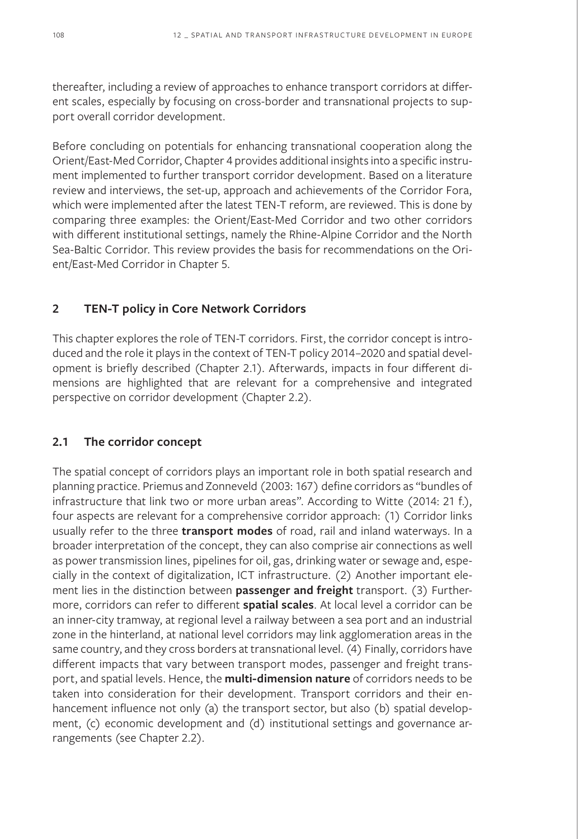thereafter, including a review of approaches to enhance transport corridors at different scales, especially by focusing on cross-border and transnational projects to support overall corridor development.

Before concluding on potentials for enhancing transnational cooperation along the Orient/East-Med Corridor, Chapter 4 provides additional insights into a specific instrument implemented to further transport corridor development. Based on a literature review and interviews, the set-up, approach and achievements of the Corridor Fora, which were implemented after the latest TEN-T reform, are reviewed. This is done by comparing three examples: the Orient/East-Med Corridor and two other corridors with different institutional settings, namely the Rhine-Alpine Corridor and the North Sea-Baltic Corridor. This review provides the basis for recommendations on the Orient/East-Med Corridor in Chapter 5.

#### **2 TEN-T policy in Core Network Corridors**

This chapter explores the role of TEN-T corridors. First, the corridor concept is introduced and the role it plays in the context of TEN-T policy 2014–2020 and spatial development is briefly described (Chapter 2.1). Afterwards, impacts in four different dimensions are highlighted that are relevant for a comprehensive and integrated perspective on corridor development (Chapter 2.2).

#### **2.1 The corridor concept**

The spatial concept of corridors plays an important role in both spatial research and planning practice. Priemus and Zonneveld (2003: 167) define corridors as "bundles of infrastructure that link two or more urban areas". According to Witte (2014: 21 f.), four aspects are relevant for a comprehensive corridor approach: (1) Corridor links usually refer to the three **transport modes** of road, rail and inland waterways. In a broader interpretation of the concept, they can also comprise air connections as well as power transmission lines, pipelines for oil, gas, drinking water or sewage and, especially in the context of digitalization, ICT infrastructure. (2) Another important element lies in the distinction between **passenger and freight** transport. (3) Furthermore, corridors can refer to different **spatial scales**. At local level a corridor can be an inner-city tramway, at regional level a railway between a sea port and an industrial zone in the hinterland, at national level corridors may link agglomeration areas in the same country, and they cross borders at transnational level. (4) Finally, corridors have different impacts that vary between transport modes, passenger and freight transport, and spatial levels. Hence, the **multi-dimension nature** of corridors needs to be taken into consideration for their development. Transport corridors and their enhancement influence not only (a) the transport sector, but also (b) spatial development, (c) economic development and (d) institutional settings and governance arrangements (see Chapter 2.2).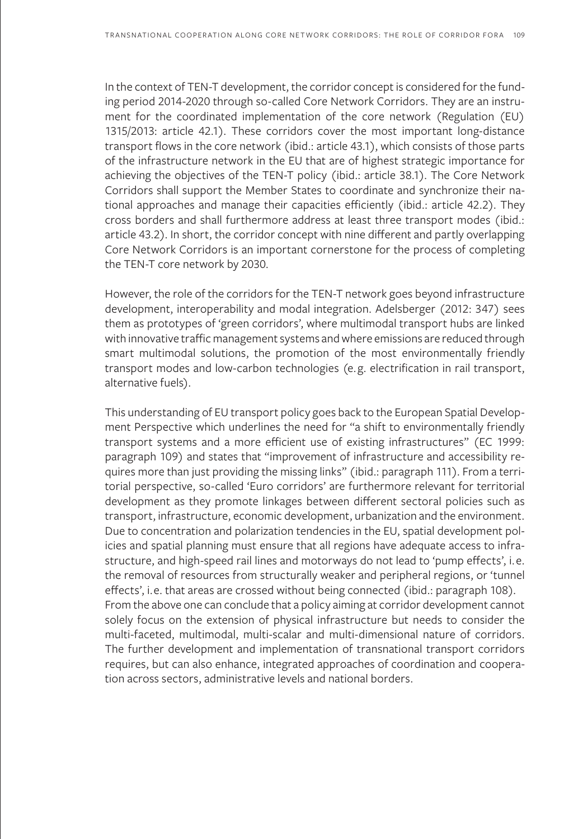In the context of TEN-T development, the corridor concept is considered for the funding period 2014-2020 through so-called Core Network Corridors. They are an instrument for the coordinated implementation of the core network (Regulation (EU) 1315/2013: article 42.1). These corridors cover the most important long-distance transport flows in the core network (ibid.: article 43.1), which consists of those parts of the infrastructure network in the EU that are of highest strategic importance for achieving the objectives of the TEN-T policy (ibid.: article 38.1). The Core Network Corridors shall support the Member States to coordinate and synchronize their national approaches and manage their capacities efficiently (ibid.: article 42.2). They cross borders and shall furthermore address at least three transport modes (ibid.: article 43.2). In short, the corridor concept with nine different and partly overlapping Core Network Corridors is an important cornerstone for the process of completing the TEN-T core network by 2030.

However, the role of the corridors for the TEN-T network goes beyond infrastructure development, interoperability and modal integration. Adelsberger (2012: 347) sees them as prototypes of 'green corridors', where multimodal transport hubs are linked with innovative traffic management systems and where emissions are reduced through smart multimodal solutions, the promotion of the most environmentally friendly transport modes and low-carbon technologies (e.g. electrification in rail transport, alternative fuels).

This understanding of EU transport policy goes back to the European Spatial Development Perspective which underlines the need for "a shift to environmentally friendly transport systems and a more efficient use of existing infrastructures" (EC 1999: paragraph 109) and states that "improvement of infrastructure and accessibility requires more than just providing the missing links" (ibid.: paragraph 111). From a territorial perspective, so-called 'Euro corridors' are furthermore relevant for territorial development as they promote linkages between different sectoral policies such as transport, infrastructure, economic development, urbanization and the environment. Due to concentration and polarization tendencies in the EU, spatial development policies and spatial planning must ensure that all regions have adequate access to infrastructure, and high-speed rail lines and motorways do not lead to 'pump effects', i.e. the removal of resources from structurally weaker and peripheral regions, or 'tunnel effects', i.e. that areas are crossed without being connected (ibid.: paragraph 108). From the above one can conclude that a policy aiming at corridor development cannot solely focus on the extension of physical infrastructure but needs to consider the multi-faceted, multimodal, multi-scalar and multi-dimensional nature of corridors. The further development and implementation of transnational transport corridors requires, but can also enhance, integrated approaches of coordination and cooperation across sectors, administrative levels and national borders.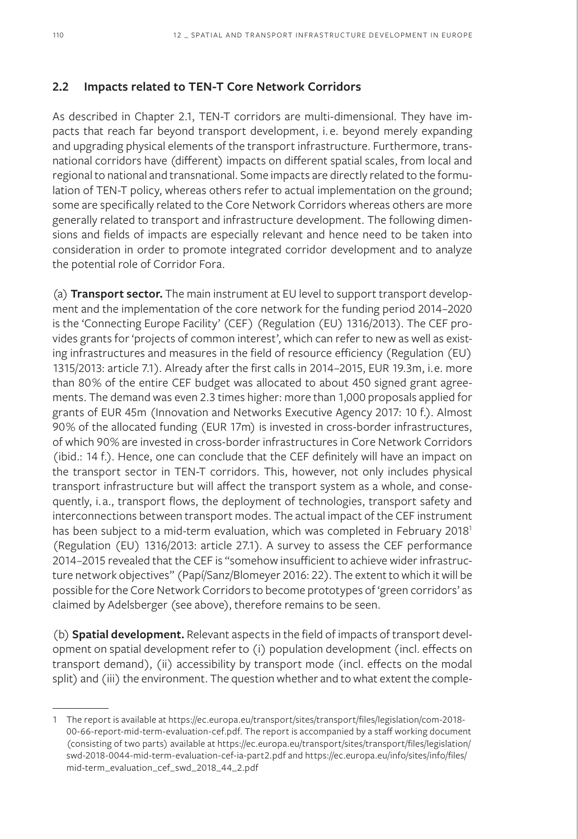#### **2.2 Impacts related to TEN-T Core Network Corridors**

As described in Chapter 2.1, TEN-T corridors are multi-dimensional. They have impacts that reach far beyond transport development, i. e. beyond merely expanding and upgrading physical elements of the transport infrastructure. Furthermore, transnational corridors have (different) impacts on different spatial scales, from local and regional to national and transnational. Some impacts are directly related to the formulation of TEN-T policy, whereas others refer to actual implementation on the ground; some are specifically related to the Core Network Corridors whereas others are more generally related to transport and infrastructure development. The following dimensions and fields of impacts are especially relevant and hence need to be taken into consideration in order to promote integrated corridor development and to analyze the potential role of Corridor Fora.

(a) **Transport sector.** The main instrument at EU level to support transport development and the implementation of the core network for the funding period 2014–2020 is the 'Connecting Europe Facility' (CEF) (Regulation (EU) 1316/2013). The CEF provides grants for 'projects of common interest', which can refer to new as well as existing infrastructures and measures in the field of resource efficiency (Regulation (EU) 1315/2013: article 7.1). Already after the first calls in 2014–2015, EUR 19.3m, i.e. more than 80% of the entire CEF budget was allocated to about 450 signed grant agreements. The demand was even 2.3 times higher: more than 1,000 proposals applied for grants of EUR 45m (Innovation and Networks Executive Agency 2017: 10 f.). Almost 90% of the allocated funding (EUR 17m) is invested in cross-border infrastructures, of which 90% are invested in cross-border infrastructures in Core Network Corridors (ibid.: 14 f.). Hence, one can conclude that the CEF definitely will have an impact on the transport sector in TEN-T corridors. This, however, not only includes physical transport infrastructure but will affect the transport system as a whole, and consequently, i.a., transport flows, the deployment of technologies, transport safety and interconnections between transport modes. The actual impact of the CEF instrument has been subject to a mid-term evaluation, which was completed in February 2018<sup>1</sup> (Regulation (EU) 1316/2013: article 27.1). A survey to assess the CEF performance 2014–2015 revealed that the CEF is "somehow insufficient to achieve wider infrastructure network objectives" (Papí/Sanz/Blomeyer 2016: 22). The extent to which it will be possible for the Core Network Corridors to become prototypes of 'green corridors' as claimed by Adelsberger (see above), therefore remains to be seen.

(b) **Spatial development.** Relevant aspects in the field of impacts of transport development on spatial development refer to (i) population development (incl. effects on transport demand), (ii) accessibility by transport mode (incl. effects on the modal split) and (iii) the environment. The question whether and to what extent the comple-

<sup>1</sup> The report is available at https://ec.europa.eu/transport/sites/transport/files/legislation/com-2018- 00-66-report-mid-term-evaluation-cef.pdf. The report is accompanied by a staff working document (consisting of two parts) available at https://ec.europa.eu/transport/sites/transport/files/legislation/ swd-2018-0044-mid-term-evaluation-cef-ia-part2.pdf and https://ec.europa.eu/info/sites/info/files/ mid-term\_evaluation\_cef\_swd\_2018\_44\_2.pdf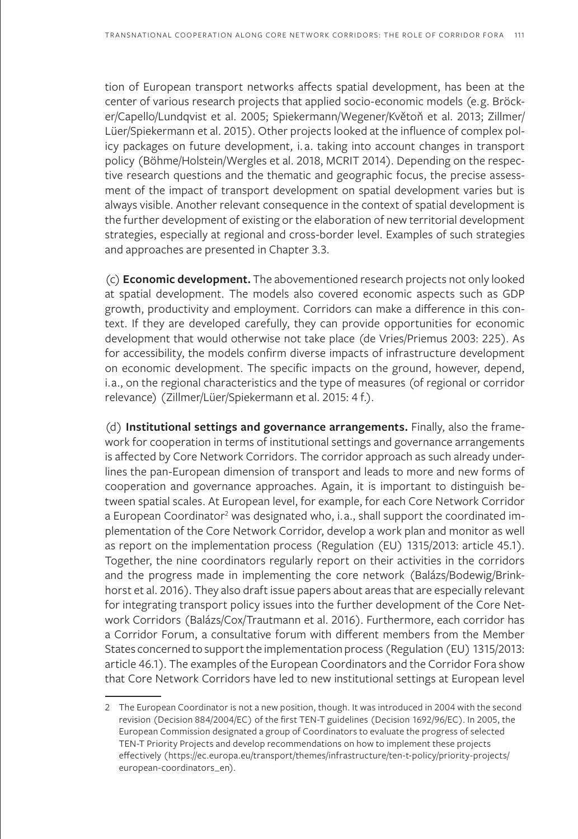tion of European transport networks affects spatial development, has been at the center of various research projects that applied socio-economic models (e.g. Bröcker/Capello/Lundqvist et al. 2005; Spiekermann/Wegener/Květoň et al. 2013; Zillmer/ Lüer/Spiekermann et al. 2015). Other projects looked at the influence of complex policy packages on future development, i. a. taking into account changes in transport policy (Böhme/Holstein/Wergles et al. 2018, MCRIT 2014). Depending on the respective research questions and the thematic and geographic focus, the precise assessment of the impact of transport development on spatial development varies but is always visible. Another relevant consequence in the context of spatial development is the further development of existing or the elaboration of new territorial development strategies, especially at regional and cross-border level. Examples of such strategies and approaches are presented in Chapter 3.3.

(c) **Economic development.** The abovementioned research projects not only looked at spatial development. The models also covered economic aspects such as GDP growth, productivity and employment. Corridors can make a difference in this context. If they are developed carefully, they can provide opportunities for economic development that would otherwise not take place (de Vries/Priemus 2003: 225). As for accessibility, the models confirm diverse impacts of infrastructure development on economic development. The specific impacts on the ground, however, depend, i.a., on the regional characteristics and the type of measures (of regional or corridor relevance) (Zillmer/Lüer/Spiekermann et al. 2015: 4 f.).

(d) **Institutional settings and governance arrangements.** Finally, also the framework for cooperation in terms of institutional settings and governance arrangements is affected by Core Network Corridors. The corridor approach as such already underlines the pan-European dimension of transport and leads to more and new forms of cooperation and governance approaches. Again, it is important to distinguish between spatial scales. At European level, for example, for each Core Network Corridor a European Coordinator<sup>2</sup> was designated who, i.a., shall support the coordinated implementation of the Core Network Corridor, develop a work plan and monitor as well as report on the implementation process (Regulation (EU) 1315/2013: article 45.1). Together, the nine coordinators regularly report on their activities in the corridors and the progress made in implementing the core network (Balázs/Bodewig/Brinkhorst et al. 2016). They also draft issue papers about areas that are especially relevant for integrating transport policy issues into the further development of the Core Network Corridors (Balázs/Cox/Trautmann et al. 2016). Furthermore, each corridor has a Corridor Forum, a consultative forum with different members from the Member States concerned to support the implementation process (Regulation (EU) 1315/2013: article 46.1). The examples of the European Coordinators and the Corridor Fora show that Core Network Corridors have led to new institutional settings at European level

<sup>2</sup> The European Coordinator is not a new position, though. It was introduced in 2004 with the second revision (Decision 884/2004/EC) of the first TEN-T guidelines (Decision 1692/96/EC). In 2005, the European Commission designated a group of Coordinators to evaluate the progress of selected TEN-T Priority Projects and develop recommendations on how to implement these projects effectively (https://ec.europa.eu/transport/themes/infrastructure/ten-t-policy/priority-projects/ european-coordinators\_en).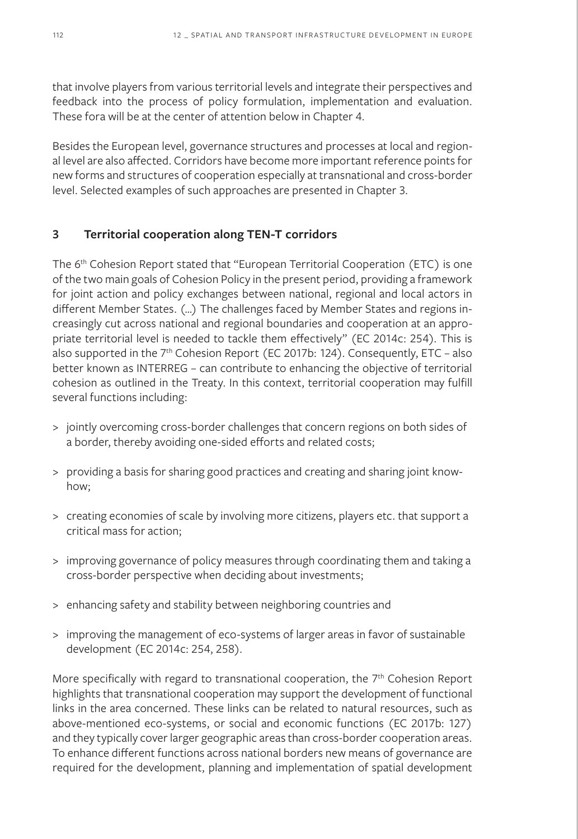that involve players from various territorial levels and integrate their perspectives and feedback into the process of policy formulation, implementation and evaluation. These fora will be at the center of attention below in Chapter 4.

Besides the European level, governance structures and processes at local and regional level are also affected. Corridors have become more important reference points for new forms and structures of cooperation especially at transnational and cross-border level. Selected examples of such approaches are presented in Chapter 3.

#### **3 Territorial cooperation along TEN-T corridors**

The 6th Cohesion Report stated that "European Territorial Cooperation (ETC) is one of the two main goals of Cohesion Policy in the present period, providing a framework for joint action and policy exchanges between national, regional and local actors in different Member States. (…) The challenges faced by Member States and regions increasingly cut across national and regional boundaries and cooperation at an appropriate territorial level is needed to tackle them effectively" (EC 2014c: 254). This is also supported in the  $7<sup>th</sup>$  Cohesion Report (EC 2017b: 124). Consequently, ETC – also better known as INTERREG – can contribute to enhancing the objective of territorial cohesion as outlined in the Treaty. In this context, territorial cooperation may fulfill several functions including:

- > jointly overcoming cross-border challenges that concern regions on both sides of a border, thereby avoiding one-sided efforts and related costs;
- > providing a basis for sharing good practices and creating and sharing joint knowhow;
- > creating economies of scale by involving more citizens, players etc. that support a critical mass for action;
- > improving governance of policy measures through coordinating them and taking a cross-border perspective when deciding about investments;
- > enhancing safety and stability between neighboring countries and
- > improving the management of eco-systems of larger areas in favor of sustainable development (EC 2014c: 254, 258).

More specifically with regard to transnational cooperation, the 7<sup>th</sup> Cohesion Report highlights that transnational cooperation may support the development of functional links in the area concerned. These links can be related to natural resources, such as above-mentioned eco-systems, or social and economic functions (EC 2017b: 127) and they typically cover larger geographic areas than cross-border cooperation areas. To enhance different functions across national borders new means of governance are required for the development, planning and implementation of spatial development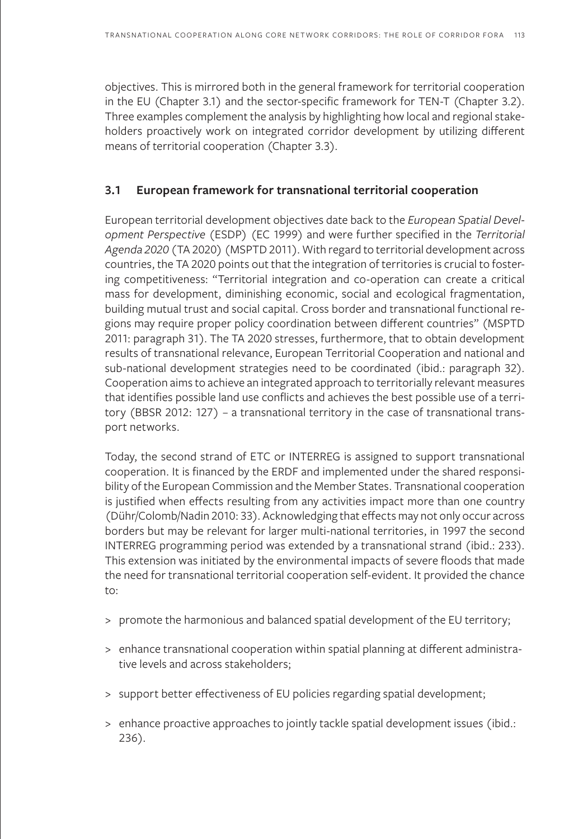objectives. This is mirrored both in the general framework for territorial cooperation in the EU (Chapter 3.1) and the sector-specific framework for TEN-T (Chapter 3.2). Three examples complement the analysis by highlighting how local and regional stakeholders proactively work on integrated corridor development by utilizing different means of territorial cooperation (Chapter 3.3).

#### **3.1 European framework for transnational territorial cooperation**

European territorial development objectives date back to the *European Spatial Development Perspective* (ESDP) (EC 1999) and were further specified in the *Territorial Agenda 2020* (TA 2020) (MSPTD 2011). With regard to territorial development across countries, the TA 2020 points out that the integration of territories is crucial to fostering competitiveness: "Territorial integration and co-operation can create a critical mass for development, diminishing economic, social and ecological fragmentation, building mutual trust and social capital. Cross border and transnational functional regions may require proper policy coordination between different countries" (MSPTD 2011: paragraph 31). The TA 2020 stresses, furthermore, that to obtain development results of transnational relevance, European Territorial Cooperation and national and sub-national development strategies need to be coordinated (ibid.: paragraph 32). Cooperation aims to achieve an integrated approach to territorially relevant measures that identifies possible land use conflicts and achieves the best possible use of a territory (BBSR 2012: 127) – a transnational territory in the case of transnational transport networks.

Today, the second strand of ETC or INTERREG is assigned to support transnational cooperation. It is financed by the ERDF and implemented under the shared responsibility of the European Commission and the Member States. Transnational cooperation is justified when effects resulting from any activities impact more than one country (Dühr/Colomb/Nadin 2010: 33). Acknowledging that effects may not only occur across borders but may be relevant for larger multi-national territories, in 1997 the second INTERREG programming period was extended by a transnational strand (ibid.: 233). This extension was initiated by the environmental impacts of severe floods that made the need for transnational territorial cooperation self-evident. It provided the chance to:

- > promote the harmonious and balanced spatial development of the EU territory;
- > enhance transnational cooperation within spatial planning at different administrative levels and across stakeholders;
- > support better effectiveness of EU policies regarding spatial development;
- > enhance proactive approaches to jointly tackle spatial development issues (ibid.: 236).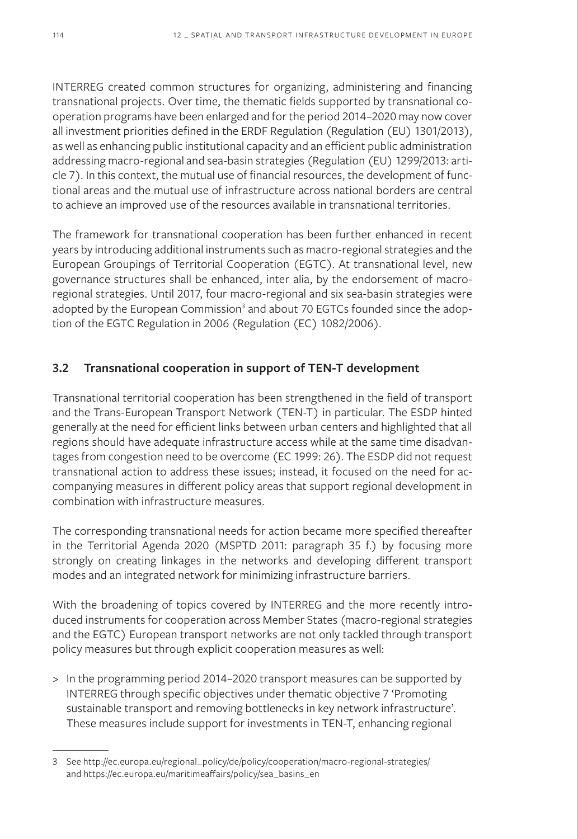INTERREG created common structures for organizing, administering and financing transnational projects. Over time, the thematic fields supported by transnational cooperation programs have been enlarged and for the period 2014–2020 may now cover all investment priorities defined in the ERDF Regulation (Regulation (EU) 1301/2013), as well as enhancing public institutional capacity and an efficient public administration addressing macro-regional and sea-basin strategies (Regulation (EU) 1299/2013: article 7). In this context, the mutual use of financial resources, the development of functional areas and the mutual use of infrastructure across national borders are central to achieve an improved use of the resources available in transnational territories.

The framework for transnational cooperation has been further enhanced in recent years by introducing additional instruments such as macro-regional strategies and the European Groupings of Territorial Cooperation (EGTC). At transnational level, new governance structures shall be enhanced, inter alia, by the endorsement of macroregional strategies. Until 2017, four macro-regional and six sea-basin strategies were adopted by the European Commission<sup>3</sup> and about 70 EGTCs founded since the adoption of the EGTC Regulation in 2006 (Regulation (EC) 1082/2006).

## **3.2 Transnational cooperation in support of TEN-T development**

Transnational territorial cooperation has been strengthened in the field of transport and the Trans-European Transport Network (TEN-T) in particular. The ESDP hinted generally at the need for efficient links between urban centers and highlighted that all regions should have adequate infrastructure access while at the same time disadvantages from congestion need to be overcome (EC 1999: 26). The ESDP did not request transnational action to address these issues; instead, it focused on the need for accompanying measures in different policy areas that support regional development in combination with infrastructure measures.

The corresponding transnational needs for action became more specified thereafter in the Territorial Agenda 2020 (MSPTD 2011: paragraph 35 f.) by focusing more strongly on creating linkages in the networks and developing different transport modes and an integrated network for minimizing infrastructure barriers.

With the broadening of topics covered by INTERREG and the more recently introduced instruments for cooperation across Member States (macro-regional strategies and the EGTC) European transport networks are not only tackled through transport policy measures but through explicit cooperation measures as well:

> In the programming period 2014–2020 transport measures can be supported by INTERREG through specific objectives under thematic objective 7 'Promoting sustainable transport and removing bottlenecks in key network infrastructure'. These measures include support for investments in TEN-T, enhancing regional

<sup>3</sup> See http://ec.europa.eu/regional\_policy/de/policy/cooperation/macro-regional-strategies/ and https://ec.europa.eu/maritimeaffairs/policy/sea\_basins\_en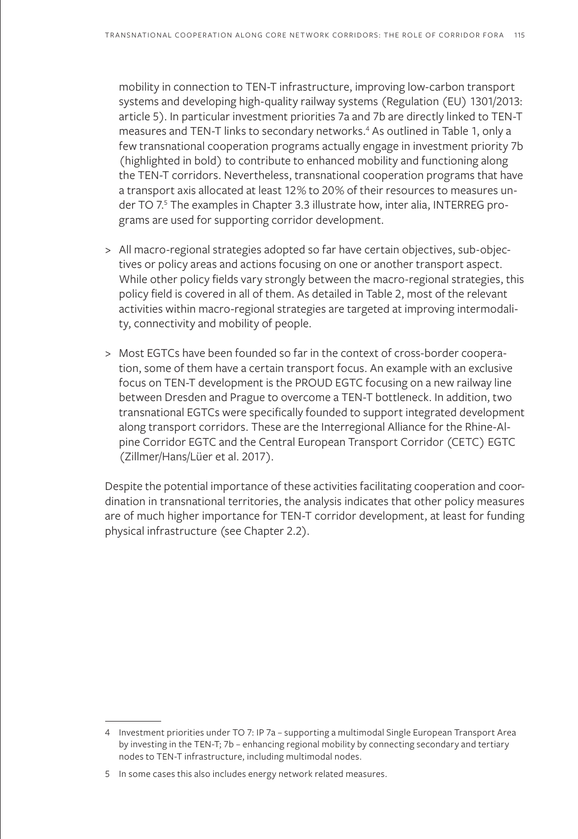mobility in connection to TEN-T infrastructure, improving low-carbon transport systems and developing high-quality railway systems (Regulation (EU) 1301/2013: article 5). In particular investment priorities 7a and 7b are directly linked to TEN-T measures and TEN-T links to secondary networks.4 As outlined in Table 1, only a few transnational cooperation programs actually engage in investment priority 7b (highlighted in bold) to contribute to enhanced mobility and functioning along the TEN-T corridors. Nevertheless, transnational cooperation programs that have a transport axis allocated at least 12% to 20% of their resources to measures under TO 7.<sup>5</sup> The examples in Chapter 3.3 illustrate how, inter alia, INTERREG programs are used for supporting corridor development.

- > All macro-regional strategies adopted so far have certain objectives, sub-objectives or policy areas and actions focusing on one or another transport aspect. While other policy fields vary strongly between the macro-regional strategies, this policy field is covered in all of them. As detailed in Table 2, most of the relevant activities within macro-regional strategies are targeted at improving intermodality, connectivity and mobility of people.
- > Most EGTCs have been founded so far in the context of cross-border cooperation, some of them have a certain transport focus. An example with an exclusive focus on TEN-T development is the PROUD EGTC focusing on a new railway line between Dresden and Prague to overcome a TEN-T bottleneck. In addition, two transnational EGTCs were specifically founded to support integrated development along transport corridors. These are the Interregional Alliance for the Rhine-Alpine Corridor EGTC and the Central European Transport Corridor (CETC) EGTC (Zillmer/Hans/Lüer et al. 2017).

Despite the potential importance of these activities facilitating cooperation and coordination in transnational territories, the analysis indicates that other policy measures are of much higher importance for TEN-T corridor development, at least for funding physical infrastructure (see Chapter 2.2).

<sup>4</sup> Investment priorities under TO 7: IP 7a – supporting a multimodal Single European Transport Area by investing in the TEN-T; 7b – enhancing regional mobility by connecting secondary and tertiary nodes to TEN-T infrastructure, including multimodal nodes.

<sup>5</sup> In some cases this also includes energy network related measures.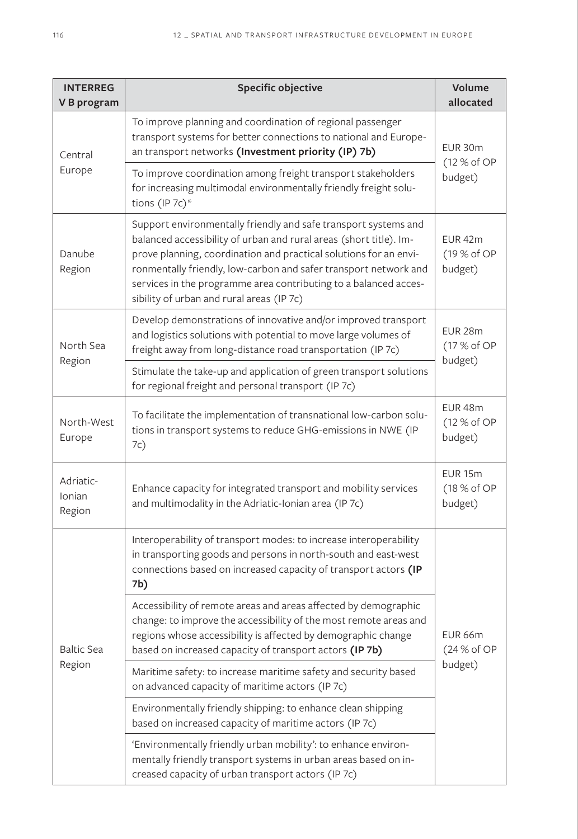| <b>INTERREG</b><br>V B program | <b>Specific objective</b>                                                                                                                                                                                                                                                                                                                                                                       | Volume<br>allocated                          |  |
|--------------------------------|-------------------------------------------------------------------------------------------------------------------------------------------------------------------------------------------------------------------------------------------------------------------------------------------------------------------------------------------------------------------------------------------------|----------------------------------------------|--|
| Central<br>Europe              | To improve planning and coordination of regional passenger<br>transport systems for better connections to national and Europe-<br>an transport networks (Investment priority (IP) 7b)                                                                                                                                                                                                           | EUR 30m<br>(12 % of OP<br>budget)            |  |
|                                | To improve coordination among freight transport stakeholders<br>for increasing multimodal environmentally friendly freight solu-<br>tions (IP 7c)*                                                                                                                                                                                                                                              |                                              |  |
| Danube<br>Region               | Support environmentally friendly and safe transport systems and<br>balanced accessibility of urban and rural areas (short title). Im-<br>prove planning, coordination and practical solutions for an envi-<br>ronmentally friendly, low-carbon and safer transport network and<br>services in the programme area contributing to a balanced acces-<br>sibility of urban and rural areas (IP 7c) | EUR <sub>42m</sub><br>(19 % of OP<br>budget) |  |
| North Sea<br>Region            | Develop demonstrations of innovative and/or improved transport<br>and logistics solutions with potential to move large volumes of<br>freight away from long-distance road transportation (IP 7c)                                                                                                                                                                                                | EUR <sub>28m</sub><br>(17 % of OP<br>budget) |  |
|                                | Stimulate the take-up and application of green transport solutions<br>for regional freight and personal transport (IP 7c)                                                                                                                                                                                                                                                                       |                                              |  |
| North-West<br>Europe           | To facilitate the implementation of transnational low-carbon solu-<br>tions in transport systems to reduce GHG-emissions in NWE (IP<br>7c)                                                                                                                                                                                                                                                      | EUR <sub>48m</sub><br>(12 % of OP<br>budget) |  |
| Adriatic-<br>Ionian<br>Region  | Enhance capacity for integrated transport and mobility services<br>and multimodality in the Adriatic-Ionian area (IP 7c)                                                                                                                                                                                                                                                                        | <b>EUR 15m</b><br>(18 % of OP<br>budget)     |  |
| <b>Baltic Sea</b><br>Region    | Interoperability of transport modes: to increase interoperability<br>in transporting goods and persons in north-south and east-west<br>connections based on increased capacity of transport actors (IP<br>7b)                                                                                                                                                                                   |                                              |  |
|                                | Accessibility of remote areas and areas affected by demographic<br>change: to improve the accessibility of the most remote areas and<br>regions whose accessibility is affected by demographic change<br>based on increased capacity of transport actors (IP 7b)                                                                                                                                | EUR 66m<br>(24% of OP<br>budget)             |  |
|                                | Maritime safety: to increase maritime safety and security based<br>on advanced capacity of maritime actors (IP 7c)                                                                                                                                                                                                                                                                              |                                              |  |
|                                | Environmentally friendly shipping: to enhance clean shipping<br>based on increased capacity of maritime actors (IP 7c)                                                                                                                                                                                                                                                                          |                                              |  |
|                                | 'Environmentally friendly urban mobility': to enhance environ-<br>mentally friendly transport systems in urban areas based on in-<br>creased capacity of urban transport actors (IP 7c)                                                                                                                                                                                                         |                                              |  |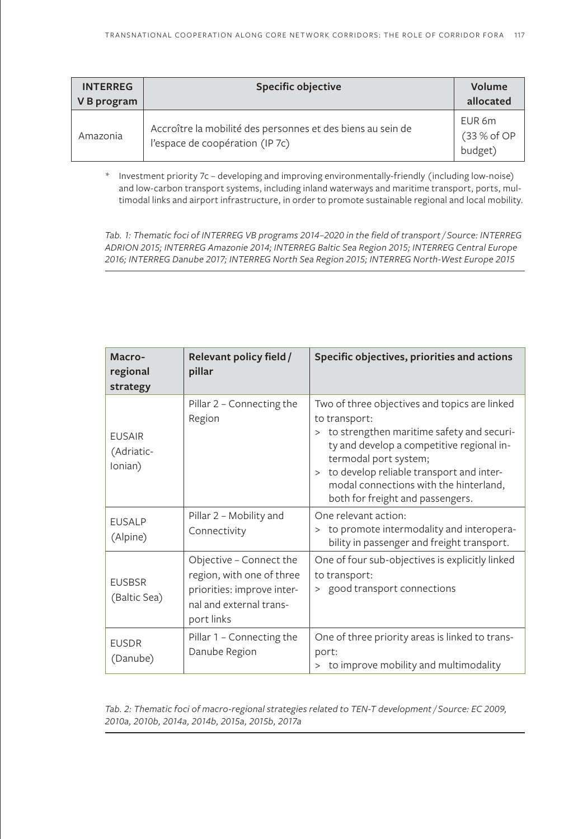| <b>INTERREG</b><br>V B program | <b>Specific objective</b>                                                                      | Volume<br>allocated              |
|--------------------------------|------------------------------------------------------------------------------------------------|----------------------------------|
| Amazonia                       | Accroître la mobilité des personnes et des biens au sein de<br>l'espace de coopération (IP 7c) | EUR 6m<br>(33 % of OP<br>budget) |

\* Investment priority 7c – developing and improving environmentally-friendly (including low-noise) and low-carbon transport systems, including inland waterways and maritime transport, ports, multimodal links and airport infrastructure, in order to promote sustainable regional and local mobility.

*Tab. 1: Thematic foci of INTERREG VB programs 2014–2020 in the field of transport / Source: INTERREG ADRION 2015; INTERREG Amazonie 2014; INTERREG Baltic Sea Region 2015; INTERREG Central Europe 2016; INTERREG Danube 2017; INTERREG North Sea Region 2015; INTERREG North-West Europe 2015*

| Macro-<br>regional<br>strategy         | Relevant policy field /<br>pillar                                                                                           | Specific objectives, priorities and actions                                                                                                                                                                                                                                                                             |
|----------------------------------------|-----------------------------------------------------------------------------------------------------------------------------|-------------------------------------------------------------------------------------------------------------------------------------------------------------------------------------------------------------------------------------------------------------------------------------------------------------------------|
| <b>EUSAIR</b><br>(Adriatic-<br>Ionian) | Pillar 2 – Connecting the<br>Region                                                                                         | Two of three objectives and topics are linked<br>to transport:<br>to strengthen maritime safety and securi-<br>$\geq$<br>ty and develop a competitive regional in-<br>termodal port system;<br>> to develop reliable transport and inter-<br>modal connections with the hinterland,<br>both for freight and passengers. |
| <b>EUSALP</b><br>(Alpine)              | Pillar 2 – Mobility and<br>Connectivity                                                                                     | One relevant action:<br>to promote intermodality and interopera-<br>$\geq$<br>bility in passenger and freight transport.                                                                                                                                                                                                |
| <b>EUSBSR</b><br>(Baltic Sea)          | Objective - Connect the<br>region, with one of three<br>priorities: improve inter-<br>nal and external trans-<br>port links | One of four sub-objectives is explicitly linked<br>to transport:<br>> good transport connections                                                                                                                                                                                                                        |
| <b>EUSDR</b><br>(Danube)               | Pillar 1 - Connecting the<br>Danube Region                                                                                  | One of three priority areas is linked to trans-<br>port:<br>to improve mobility and multimodality                                                                                                                                                                                                                       |

*Tab. 2: Thematic foci of macro-regional strategies related to TEN-T development / Source: EC 2009, 2010a, 2010b, 2014a, 2014b, 2015a, 2015b, 2017a*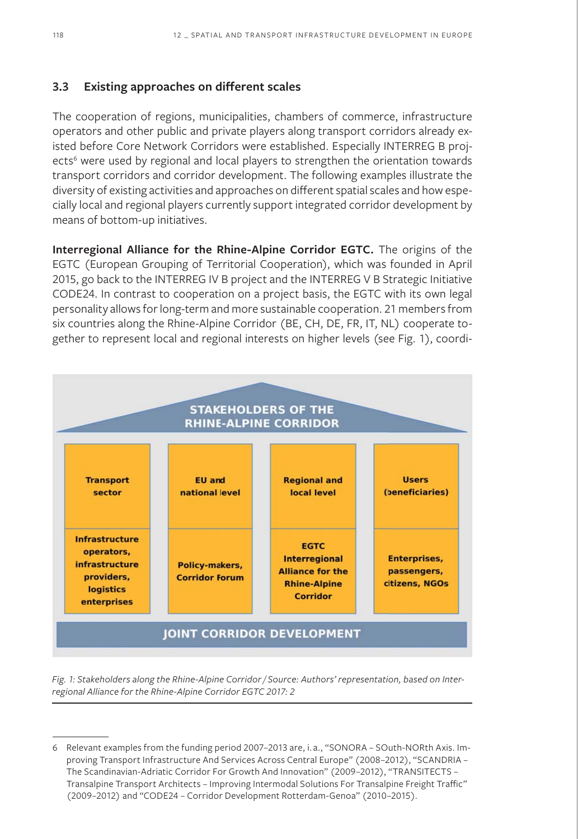#### **3.3 Existing approaches on different scales**

The cooperation of regions, municipalities, chambers of commerce, infrastructure operators and other public and private players along transport corridors already existed before Core Network Corridors were established. Especially INTERREG B projects<sup>6</sup> were used by regional and local players to strengthen the orientation towards transport corridors and corridor development. The following examples illustrate the diversity of existing activities and approaches on different spatial scales and how especially local and regional players currently support integrated corridor development by means of bottom-up initiatives.

**Interregional Alliance for the Rhine-Alpine Corridor EGTC.** The origins of the EGTC (European Grouping of Territorial Cooperation), which was founded in April 2015, go back to the INTERREG IV B project and the INTERREG V B Strategic Initiative CODE24. In contrast to cooperation on a project basis, the EGTC with its own legal personality allows for long-term and more sustainable cooperation. 21 members from six countries along the Rhine-Alpine Corridor (BE, CH, DE, FR, IT, NL) cooperate together to represent local and regional interests on higher levels (see Fig. 1), coordi-



*Fig. 1: Stakeholders along the Rhine-Alpine Corridor / Source: Authors' representation, based on Interregional Alliance for the Rhine-Alpine Corridor EGTC 2017: 2*

<sup>6</sup> Relevant examples from the funding period 2007–2013 are, i. a., "SONORA – SOuth-NORth Axis. Improving Transport Infrastructure And Services Across Central Europe" (2008–2012), "SCANDRIA – The Scandinavian-Adriatic Corridor For Growth And Innovation" (2009–2012), "TRANSITECTS – Transalpine Transport Architects – Improving Intermodal Solutions For Transalpine Freight Traffic" (2009–2012) and "CODE24 – Corridor Development Rotterdam-Genoa" (2010–2015).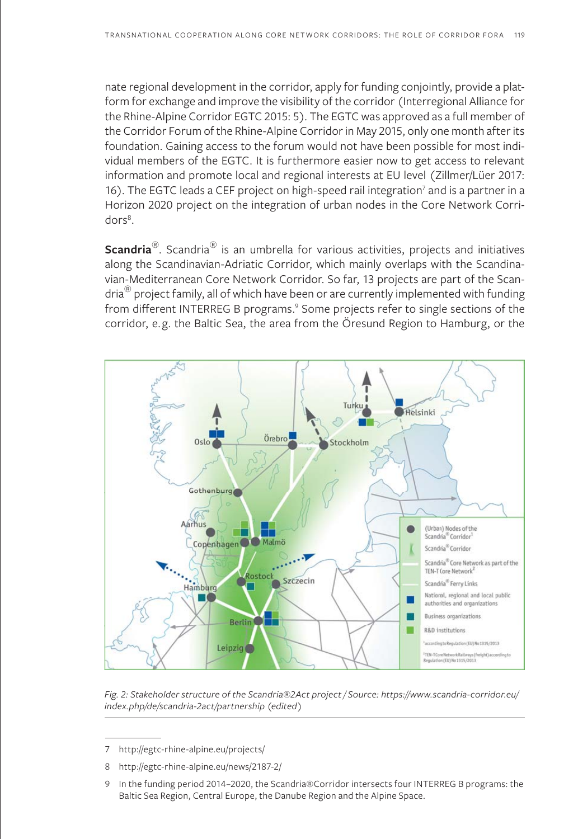nate regional development in the corridor, apply for funding conjointly, provide a platform for exchange and improve the visibility of the corridor (Interregional Alliance for the Rhine-Alpine Corridor EGTC 2015: 5). The EGTC was approved as a full member of the Corridor Forum of the Rhine-Alpine Corridor in May 2015, only one month after its foundation. Gaining access to the forum would not have been possible for most individual members of the EGTC. It is furthermore easier now to get access to relevant information and promote local and regional interests at EU level (Zillmer/Lüer 2017: 16). The EGTC leads a CEF project on high-speed rail integration<sup>7</sup> and is a partner in a Horizon 2020 project on the integration of urban nodes in the Core Network Corridors<sup>8</sup>.

**Scandria**<sup>®</sup>. Scandria<sup>®</sup> is an umbrella for various activities, projects and initiatives along the Scandinavian-Adriatic Corridor, which mainly overlaps with the Scandinavian-Mediterranean Core Network Corridor. So far, 13 projects are part of the Scan- $\text{dria}^{\circledR}$  project family, all of which have been or are currently implemented with funding from different INTERREG B programs.<sup>9</sup> Some projects refer to single sections of the corridor, e.g. the Baltic Sea, the area from the Öresund Region to Hamburg, or the



*Fig. 2: Stakeholder structure of the Scandria®2Act project / Source: https://www.scandria-corridor.eu/ index.php/de/scandria-2act/partnership (edited)*

<sup>7</sup> http://egtc-rhine-alpine.eu/projects/

<sup>8</sup> http://egtc-rhine-alpine.eu/news/2187-2/

<sup>9</sup> In the funding period 2014–2020, the Scandria®Corridor intersects four INTERREG B programs: the Baltic Sea Region, Central Europe, the Danube Region and the Alpine Space.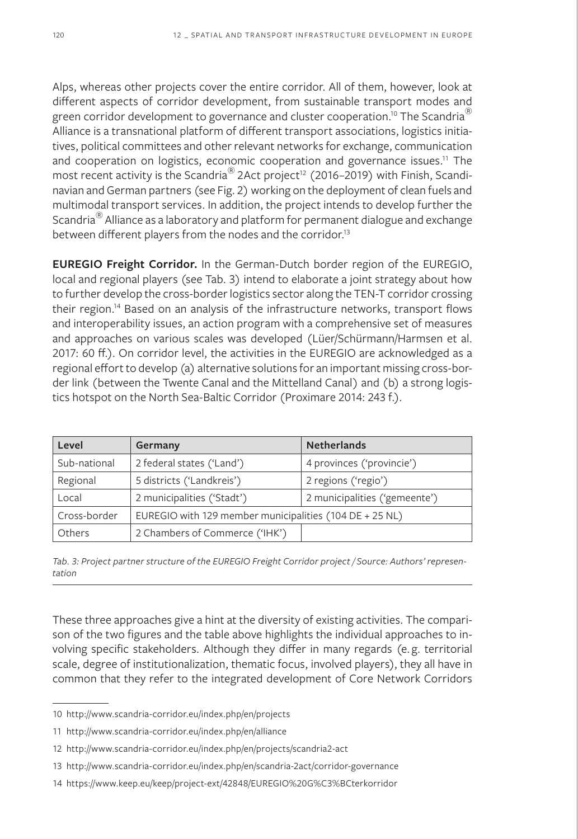Alps, whereas other projects cover the entire corridor. All of them, however, look at different aspects of corridor development, from sustainable transport modes and green corridor development to governance and cluster cooperation.<sup>10</sup> The Scandria<sup>®</sup> Alliance is a transnational platform of different transport associations, logistics initiatives, political committees and other relevant networks for exchange, communication and cooperation on logistics, economic cooperation and governance issues.<sup>11</sup> The most recent activity is the Scandria<sup>®</sup> 2Act project<sup>12</sup> (2016–2019) with Finish, Scandinavian and German partners (see Fig. 2) working on the deployment of clean fuels and multimodal transport services. In addition, the project intends to develop further the Scandria<sup>®</sup> Alliance as a laboratory and platform for permanent dialogue and exchange between different players from the nodes and the corridor.<sup>13</sup>

**EUREGIO Freight Corridor.** In the German-Dutch border region of the EUREGIO, local and regional players (see Tab. 3) intend to elaborate a joint strategy about how to further develop the cross-border logistics sector along the TEN-T corridor crossing their region.14 Based on an analysis of the infrastructure networks, transport flows and interoperability issues, an action program with a comprehensive set of measures and approaches on various scales was developed (Lüer/Schürmann/Harmsen et al. 2017: 60 ff.). On corridor level, the activities in the EUREGIO are acknowledged as a regional effort to develop (a) alternative solutions for an important missing cross-border link (between the Twente Canal and the Mittelland Canal) and (b) a strong logistics hotspot on the North Sea-Baltic Corridor (Proximare 2014: 243 f.).

| Level        | Germany                                                 | <b>Netherlands</b>            |  |
|--------------|---------------------------------------------------------|-------------------------------|--|
| Sub-national | 2 federal states ('Land')                               | 4 provinces ('provincie')     |  |
| Regional     | 5 districts ('Landkreis')                               | 2 regions ('regio')           |  |
| Local        | 2 municipalities ('Stadt')                              | 2 municipalities ('gemeente') |  |
| Cross-border | EUREGIO with 129 member municipalities (104 DE + 25 NL) |                               |  |
| Others       | 2 Chambers of Commerce ('IHK')                          |                               |  |

*Tab. 3: Project partner structure of the EUREGIO Freight Corridor project / Source: Authors' representation*

These three approaches give a hint at the diversity of existing activities. The comparison of the two figures and the table above highlights the individual approaches to involving specific stakeholders. Although they differ in many regards (e. g. territorial scale, degree of institutionalization, thematic focus, involved players), they all have in common that they refer to the integrated development of Core Network Corridors

<sup>10</sup> http://www.scandria-corridor.eu/index.php/en/projects

<sup>11</sup> http://www.scandria-corridor.eu/index.php/en/alliance

<sup>12</sup> http://www.scandria-corridor.eu/index.php/en/projects/scandria2-act

<sup>13</sup> http://www.scandria-corridor.eu/index.php/en/scandria-2act/corridor-governance

<sup>14</sup> https://www.keep.eu/keep/project-ext/42848/EUREGIO%20G%C3%BCterkorridor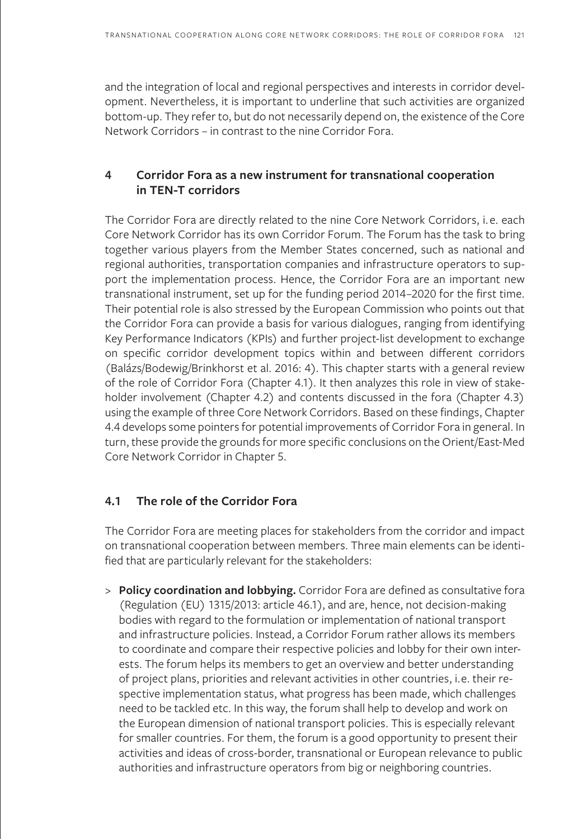and the integration of local and regional perspectives and interests in corridor development. Nevertheless, it is important to underline that such activities are organized bottom-up. They refer to, but do not necessarily depend on, the existence of the Core Network Corridors – in contrast to the nine Corridor Fora.

## **4 Corridor Fora as a new instrument for transnational cooperation in TEN-T corridors**

The Corridor Fora are directly related to the nine Core Network Corridors, i.e. each Core Network Corridor has its own Corridor Forum. The Forum has the task to bring together various players from the Member States concerned, such as national and regional authorities, transportation companies and infrastructure operators to support the implementation process. Hence, the Corridor Fora are an important new transnational instrument, set up for the funding period 2014–2020 for the first time. Their potential role is also stressed by the European Commission who points out that the Corridor Fora can provide a basis for various dialogues, ranging from identifying Key Performance Indicators (KPIs) and further project-list development to exchange on specific corridor development topics within and between different corridors (Balázs/Bodewig/Brinkhorst et al. 2016: 4). This chapter starts with a general review of the role of Corridor Fora (Chapter 4.1). It then analyzes this role in view of stakeholder involvement (Chapter 4.2) and contents discussed in the fora (Chapter 4.3) using the example of three Core Network Corridors. Based on these findings, Chapter 4.4 develops some pointers for potential improvements of Corridor Fora in general. In turn, these provide the grounds for more specific conclusions on the Orient/East-Med Core Network Corridor in Chapter 5.

## **4.1 The role of the Corridor Fora**

The Corridor Fora are meeting places for stakeholders from the corridor and impact on transnational cooperation between members. Three main elements can be identified that are particularly relevant for the stakeholders:

> **Policy coordination and lobbying.** Corridor Fora are defined as consultative fora (Regulation (EU) 1315/2013: article 46.1), and are, hence, not decision-making bodies with regard to the formulation or implementation of national transport and infrastructure policies. Instead, a Corridor Forum rather allows its members to coordinate and compare their respective policies and lobby for their own interests. The forum helps its members to get an overview and better understanding of project plans, priorities and relevant activities in other countries, i.e. their respective implementation status, what progress has been made, which challenges need to be tackled etc. In this way, the forum shall help to develop and work on the European dimension of national transport policies. This is especially relevant for smaller countries. For them, the forum is a good opportunity to present their activities and ideas of cross-border, transnational or European relevance to public authorities and infrastructure operators from big or neighboring countries.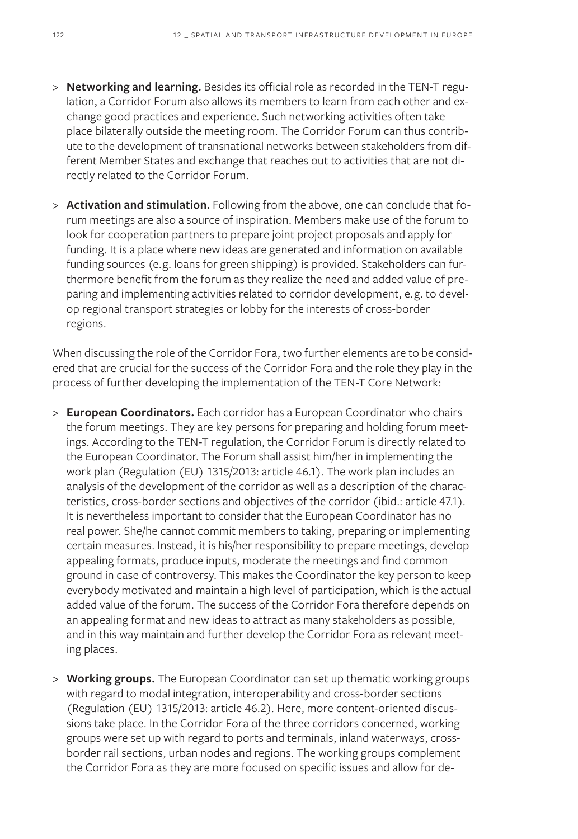- > **Networking and learning.** Besides its official role as recorded in the TEN-T regulation, a Corridor Forum also allows its members to learn from each other and exchange good practices and experience. Such networking activities often take place bilaterally outside the meeting room. The Corridor Forum can thus contribute to the development of transnational networks between stakeholders from different Member States and exchange that reaches out to activities that are not directly related to the Corridor Forum.
- > **Activation and stimulation.** Following from the above, one can conclude that forum meetings are also a source of inspiration. Members make use of the forum to look for cooperation partners to prepare joint project proposals and apply for funding. It is a place where new ideas are generated and information on available funding sources (e.g. loans for green shipping) is provided. Stakeholders can furthermore benefit from the forum as they realize the need and added value of preparing and implementing activities related to corridor development, e.g. to develop regional transport strategies or lobby for the interests of cross-border regions.

When discussing the role of the Corridor Fora, two further elements are to be considered that are crucial for the success of the Corridor Fora and the role they play in the process of further developing the implementation of the TEN-T Core Network:

- > **European Coordinators.** Each corridor has a European Coordinator who chairs the forum meetings. They are key persons for preparing and holding forum meetings. According to the TEN-T regulation, the Corridor Forum is directly related to the European Coordinator. The Forum shall assist him/her in implementing the work plan (Regulation (EU) 1315/2013: article 46.1). The work plan includes an analysis of the development of the corridor as well as a description of the characteristics, cross-border sections and objectives of the corridor (ibid.: article 47.1). It is nevertheless important to consider that the European Coordinator has no real power. She/he cannot commit members to taking, preparing or implementing certain measures. Instead, it is his/her responsibility to prepare meetings, develop appealing formats, produce inputs, moderate the meetings and find common ground in case of controversy. This makes the Coordinator the key person to keep everybody motivated and maintain a high level of participation, which is the actual added value of the forum. The success of the Corridor Fora therefore depends on an appealing format and new ideas to attract as many stakeholders as possible, and in this way maintain and further develop the Corridor Fora as relevant meeting places.
- > **Working groups.** The European Coordinator can set up thematic working groups with regard to modal integration, interoperability and cross-border sections (Regulation (EU) 1315/2013: article 46.2). Here, more content-oriented discussions take place. In the Corridor Fora of the three corridors concerned, working groups were set up with regard to ports and terminals, inland waterways, crossborder rail sections, urban nodes and regions. The working groups complement the Corridor Fora as they are more focused on specific issues and allow for de-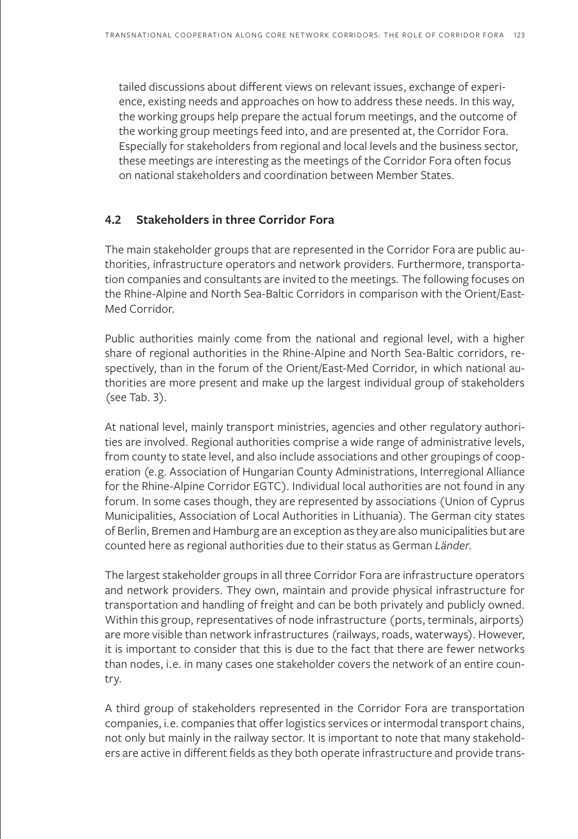tailed discussions about different views on relevant issues, exchange of experience, existing needs and approaches on how to address these needs. In this way, the working groups help prepare the actual forum meetings, and the outcome of the working group meetings feed into, and are presented at, the Corridor Fora. Especially for stakeholders from regional and local levels and the business sector, these meetings are interesting as the meetings of the Corridor Fora often focus on national stakeholders and coordination between Member States.

## **4.2 Stakeholders in three Corridor Fora**

The main stakeholder groups that are represented in the Corridor Fora are public authorities, infrastructure operators and network providers. Furthermore, transportation companies and consultants are invited to the meetings. The following focuses on the Rhine-Alpine and North Sea-Baltic Corridors in comparison with the Orient/East-Med Corridor.

Public authorities mainly come from the national and regional level, with a higher share of regional authorities in the Rhine-Alpine and North Sea-Baltic corridors, respectively, than in the forum of the Orient/East-Med Corridor, in which national authorities are more present and make up the largest individual group of stakeholders (see Tab. 3).

At national level, mainly transport ministries, agencies and other regulatory authorities are involved. Regional authorities comprise a wide range of administrative levels, from county to state level, and also include associations and other groupings of cooperation (e.g. Association of Hungarian County Administrations, Interregional Alliance for the Rhine-Alpine Corridor EGTC). Individual local authorities are not found in any forum. In some cases though, they are represented by associations (Union of Cyprus Municipalities, Association of Local Authorities in Lithuania). The German city states of Berlin, Bremen and Hamburg are an exception as they are also municipalities but are counted here as regional authorities due to their status as German *Länder*.

The largest stakeholder groups in all three Corridor Fora are infrastructure operators and network providers. They own, maintain and provide physical infrastructure for transportation and handling of freight and can be both privately and publicly owned. Within this group, representatives of node infrastructure (ports, terminals, airports) are more visible than network infrastructures (railways, roads, waterways). However, it is important to consider that this is due to the fact that there are fewer networks than nodes, i.e. in many cases one stakeholder covers the network of an entire country.

A third group of stakeholders represented in the Corridor Fora are transportation companies, i.e. companies that offer logistics services or intermodal transport chains, not only but mainly in the railway sector. It is important to note that many stakeholders are active in different fields as they both operate infrastructure and provide trans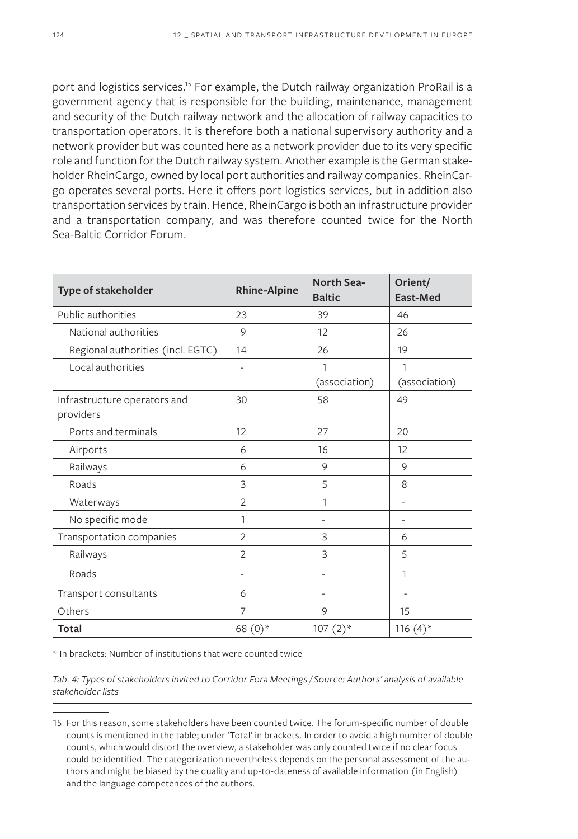port and logistics services.<sup>15</sup> For example, the Dutch railway organization ProRail is a government agency that is responsible for the building, maintenance, management and security of the Dutch railway network and the allocation of railway capacities to transportation operators. It is therefore both a national supervisory authority and a network provider but was counted here as a network provider due to its very specific role and function for the Dutch railway system. Another example is the German stakeholder RheinCargo, owned by local port authorities and railway companies. RheinCargo operates several ports. Here it offers port logistics services, but in addition also transportation services by train. Hence, RheinCargo is both an infrastructure provider and a transportation company, and was therefore counted twice for the North Sea-Baltic Corridor Forum.

| Type of stakeholder                       | <b>Rhine-Alpine</b> | North Sea-<br><b>Baltic</b> | Orient/<br>East-Med    |
|-------------------------------------------|---------------------|-----------------------------|------------------------|
| Public authorities                        | 23                  | 39                          | 46                     |
| National authorities                      | 9                   | 12                          | 26                     |
| Regional authorities (incl. EGTC)         | 14                  | 26                          | 19                     |
| Local authorities                         |                     | 1                           | 1                      |
|                                           | 30                  | (association)<br>58         | (association)<br>49    |
| Infrastructure operators and<br>providers |                     |                             |                        |
| Ports and terminals                       | 12                  | 27                          | 20                     |
| Airports                                  | 6                   | 16                          | 12                     |
| Railways                                  | 6                   | 9                           | 9                      |
| Roads                                     | 3                   | 5                           | 8                      |
| Waterways                                 | $\overline{2}$      | 1                           |                        |
| No specific mode                          | 1                   | ٠                           | ٠                      |
| Transportation companies                  | $\overline{2}$      | 3                           | 6                      |
| Railways                                  | $\overline{2}$      | 3                           | 5                      |
| Roads                                     |                     | ٠                           | 1                      |
| Transport consultants                     | 6                   | ٠                           |                        |
| Others                                    | 7                   | 9                           | 15                     |
| Total                                     | 68 (0)*             | $107(2)$ *                  | 116 $(4)$ <sup>*</sup> |

\* In brackets: Number of institutions that were counted twice

*Tab. 4: Types of stakeholders invited to Corridor Fora Meetings / Source: Authors' analysis of available stakeholder lists*

<sup>15</sup> For this reason, some stakeholders have been counted twice. The forum-specific number of double counts is mentioned in the table; under 'Total' in brackets. In order to avoid a high number of double counts, which would distort the overview, a stakeholder was only counted twice if no clear focus could be identified. The categorization nevertheless depends on the personal assessment of the authors and might be biased by the quality and up-to-dateness of available information (in English) and the language competences of the authors.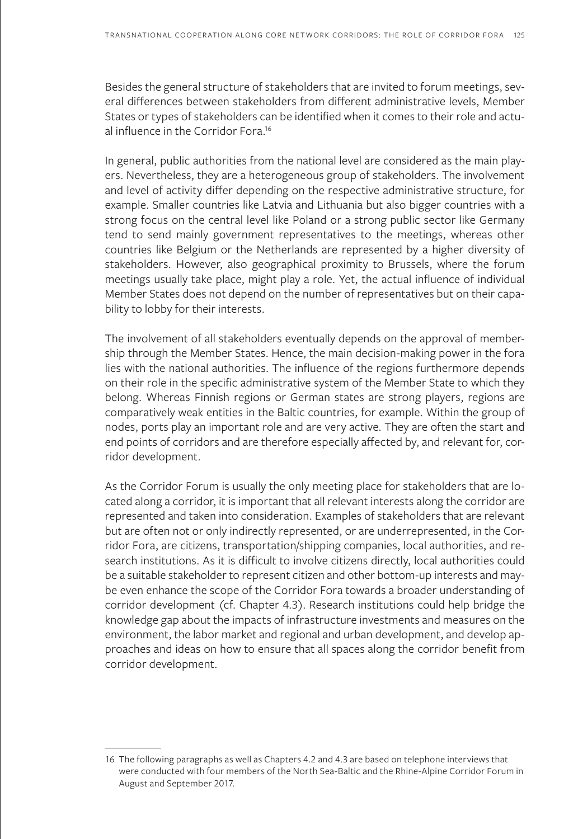Besides the general structure of stakeholders that are invited to forum meetings, several differences between stakeholders from different administrative levels, Member States or types of stakeholders can be identified when it comes to their role and actual influence in the Corridor Fora.16

In general, public authorities from the national level are considered as the main players. Nevertheless, they are a heterogeneous group of stakeholders. The involvement and level of activity differ depending on the respective administrative structure, for example. Smaller countries like Latvia and Lithuania but also bigger countries with a strong focus on the central level like Poland or a strong public sector like Germany tend to send mainly government representatives to the meetings, whereas other countries like Belgium or the Netherlands are represented by a higher diversity of stakeholders. However, also geographical proximity to Brussels, where the forum meetings usually take place, might play a role. Yet, the actual influence of individual Member States does not depend on the number of representatives but on their capability to lobby for their interests.

The involvement of all stakeholders eventually depends on the approval of membership through the Member States. Hence, the main decision-making power in the fora lies with the national authorities. The influence of the regions furthermore depends on their role in the specific administrative system of the Member State to which they belong. Whereas Finnish regions or German states are strong players, regions are comparatively weak entities in the Baltic countries, for example. Within the group of nodes, ports play an important role and are very active. They are often the start and end points of corridors and are therefore especially affected by, and relevant for, corridor development.

As the Corridor Forum is usually the only meeting place for stakeholders that are located along a corridor, it is important that all relevant interests along the corridor are represented and taken into consideration. Examples of stakeholders that are relevant but are often not or only indirectly represented, or are underrepresented, in the Corridor Fora, are citizens, transportation/shipping companies, local authorities, and research institutions. As it is difficult to involve citizens directly, local authorities could be a suitable stakeholder to represent citizen and other bottom-up interests and maybe even enhance the scope of the Corridor Fora towards a broader understanding of corridor development (cf. Chapter 4.3). Research institutions could help bridge the knowledge gap about the impacts of infrastructure investments and measures on the environment, the labor market and regional and urban development, and develop approaches and ideas on how to ensure that all spaces along the corridor benefit from corridor development.

<sup>16</sup> The following paragraphs as well as Chapters 4.2 and 4.3 are based on telephone interviews that were conducted with four members of the North Sea-Baltic and the Rhine-Alpine Corridor Forum in August and September 2017.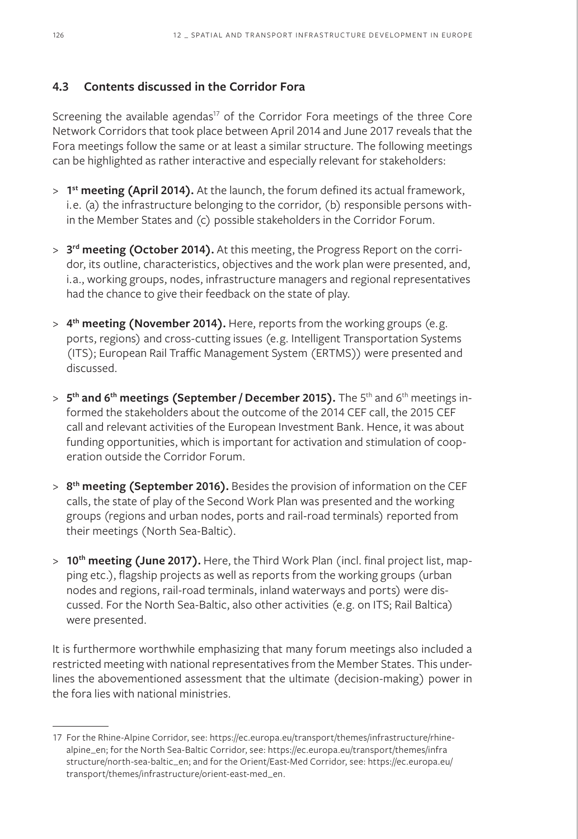# **4.3 Contents discussed in the Corridor Fora**

Screening the available agendas<sup>17</sup> of the Corridor Fora meetings of the three Core Network Corridors that took place between April 2014 and June 2017 reveals that the Fora meetings follow the same or at least a similar structure. The following meetings can be highlighted as rather interactive and especially relevant for stakeholders:

- > **1st meeting (April 2014).** At the launch, the forum defined its actual framework, i.e. (a) the infrastructure belonging to the corridor, (b) responsible persons within the Member States and (c) possible stakeholders in the Corridor Forum.
- > **3rd meeting (October 2014).** At this meeting, the Progress Report on the corridor, its outline, characteristics, objectives and the work plan were presented, and, i.a., working groups, nodes, infrastructure managers and regional representatives had the chance to give their feedback on the state of play.
- > **4th meeting (November 2014).** Here, reports from the working groups (e.g. ports, regions) and cross-cutting issues (e.g. Intelligent Transportation Systems (ITS); European Rail Traffic Management System (ERTMS)) were presented and discussed.
- > 5<sup>th</sup> and 6<sup>th</sup> meetings (September / December 2015). The 5<sup>th</sup> and 6<sup>th</sup> meetings informed the stakeholders about the outcome of the 2014 CEF call, the 2015 CEF call and relevant activities of the European Investment Bank. Hence, it was about funding opportunities, which is important for activation and stimulation of cooperation outside the Corridor Forum.
- > **8th meeting (September 2016).** Besides the provision of information on the CEF calls, the state of play of the Second Work Plan was presented and the working groups (regions and urban nodes, ports and rail-road terminals) reported from their meetings (North Sea-Baltic).
- > 10<sup>th</sup> meeting (June 2017). Here, the Third Work Plan (incl. final project list, mapping etc.), flagship projects as well as reports from the working groups (urban nodes and regions, rail-road terminals, inland waterways and ports) were discussed. For the North Sea-Baltic, also other activities (e.g. on ITS; Rail Baltica) were presented.

It is furthermore worthwhile emphasizing that many forum meetings also included a restricted meeting with national representatives from the Member States. This underlines the abovementioned assessment that the ultimate (decision-making) power in the fora lies with national ministries.

<sup>17</sup> For the Rhine-Alpine Corridor, see: https://ec.europa.eu/transport/themes/infrastructure/rhinealpine\_en; for the North Sea-Baltic Corridor, see: https://ec.europa.eu/transport/themes/infra structure/north-sea-baltic\_en; and for the Orient/East-Med Corridor, see: https://ec.europa.eu/ transport/themes/infrastructure/orient-east-med\_en.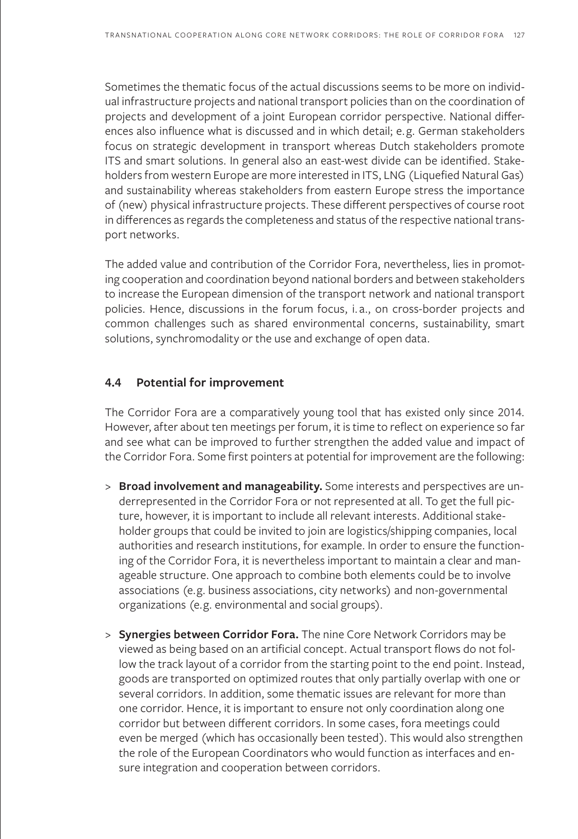Sometimes the thematic focus of the actual discussions seems to be more on individual infrastructure projects and national transport policies than on the coordination of projects and development of a joint European corridor perspective. National differences also influence what is discussed and in which detail; e.g. German stakeholders focus on strategic development in transport whereas Dutch stakeholders promote ITS and smart solutions. In general also an east-west divide can be identified. Stakeholders from western Europe are more interested in ITS, LNG (Liquefied Natural Gas) and sustainability whereas stakeholders from eastern Europe stress the importance of (new) physical infrastructure projects. These different perspectives of course root in differences as regards the completeness and status of the respective national transport networks.

The added value and contribution of the Corridor Fora, nevertheless, lies in promoting cooperation and coordination beyond national borders and between stakeholders to increase the European dimension of the transport network and national transport policies. Hence, discussions in the forum focus, i. a., on cross-border projects and common challenges such as shared environmental concerns, sustainability, smart solutions, synchromodality or the use and exchange of open data.

#### **4.4 Potential for improvement**

The Corridor Fora are a comparatively young tool that has existed only since 2014. However, after about ten meetings per forum, it is time to reflect on experience so far and see what can be improved to further strengthen the added value and impact of the Corridor Fora. Some first pointers at potential for improvement are the following:

- > **Broad involvement and manageability.** Some interests and perspectives are underrepresented in the Corridor Fora or not represented at all. To get the full picture, however, it is important to include all relevant interests. Additional stakeholder groups that could be invited to join are logistics/shipping companies, local authorities and research institutions, for example. In order to ensure the functioning of the Corridor Fora, it is nevertheless important to maintain a clear and manageable structure. One approach to combine both elements could be to involve associations (e.g. business associations, city networks) and non-governmental organizations (e.g. environmental and social groups).
- > **Synergies between Corridor Fora.** The nine Core Network Corridors may be viewed as being based on an artificial concept. Actual transport flows do not follow the track layout of a corridor from the starting point to the end point. Instead, goods are transported on optimized routes that only partially overlap with one or several corridors. In addition, some thematic issues are relevant for more than one corridor. Hence, it is important to ensure not only coordination along one corridor but between different corridors. In some cases, fora meetings could even be merged (which has occasionally been tested). This would also strengthen the role of the European Coordinators who would function as interfaces and ensure integration and cooperation between corridors.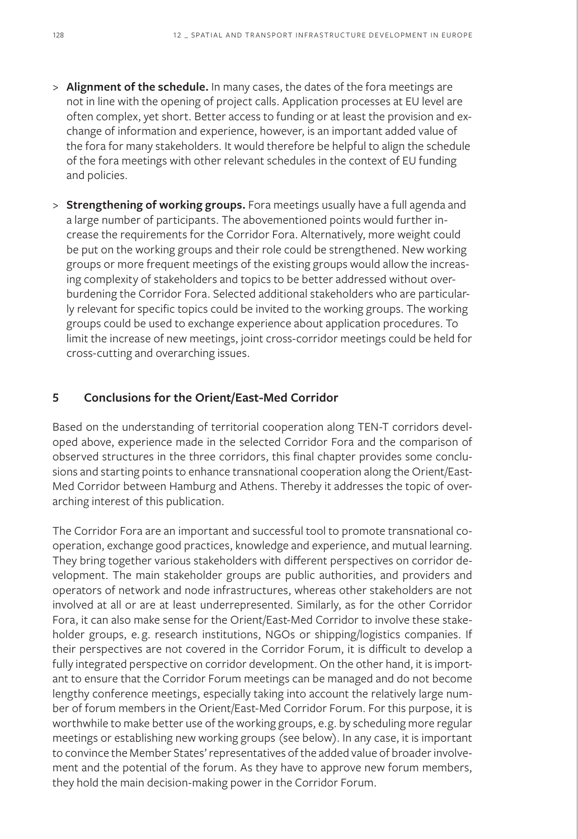- > **Alignment of the schedule.** In many cases, the dates of the fora meetings are not in line with the opening of project calls. Application processes at EU level are often complex, yet short. Better access to funding or at least the provision and exchange of information and experience, however, is an important added value of the fora for many stakeholders. It would therefore be helpful to align the schedule of the fora meetings with other relevant schedules in the context of EU funding and policies.
- > **Strengthening of working groups.** Fora meetings usually have a full agenda and a large number of participants. The abovementioned points would further increase the requirements for the Corridor Fora. Alternatively, more weight could be put on the working groups and their role could be strengthened. New working groups or more frequent meetings of the existing groups would allow the increasing complexity of stakeholders and topics to be better addressed without overburdening the Corridor Fora. Selected additional stakeholders who are particularly relevant for specific topics could be invited to the working groups. The working groups could be used to exchange experience about application procedures. To limit the increase of new meetings, joint cross-corridor meetings could be held for cross-cutting and overarching issues.

#### **5 Conclusions for the Orient/East-Med Corridor**

Based on the understanding of territorial cooperation along TEN-T corridors developed above, experience made in the selected Corridor Fora and the comparison of observed structures in the three corridors, this final chapter provides some conclusions and starting points to enhance transnational cooperation along the Orient/East-Med Corridor between Hamburg and Athens. Thereby it addresses the topic of overarching interest of this publication.

The Corridor Fora are an important and successful tool to promote transnational cooperation, exchange good practices, knowledge and experience, and mutual learning. They bring together various stakeholders with different perspectives on corridor development. The main stakeholder groups are public authorities, and providers and operators of network and node infrastructures, whereas other stakeholders are not involved at all or are at least underrepresented. Similarly, as for the other Corridor Fora, it can also make sense for the Orient/East-Med Corridor to involve these stakeholder groups, e. g. research institutions, NGOs or shipping/logistics companies. If their perspectives are not covered in the Corridor Forum, it is difficult to develop a fully integrated perspective on corridor development. On the other hand, it is important to ensure that the Corridor Forum meetings can be managed and do not become lengthy conference meetings, especially taking into account the relatively large number of forum members in the Orient/East-Med Corridor Forum. For this purpose, it is worthwhile to make better use of the working groups, e.g. by scheduling more regular meetings or establishing new working groups (see below). In any case, it is important to convince the Member States' representatives of the added value of broader involvement and the potential of the forum. As they have to approve new forum members, they hold the main decision-making power in the Corridor Forum.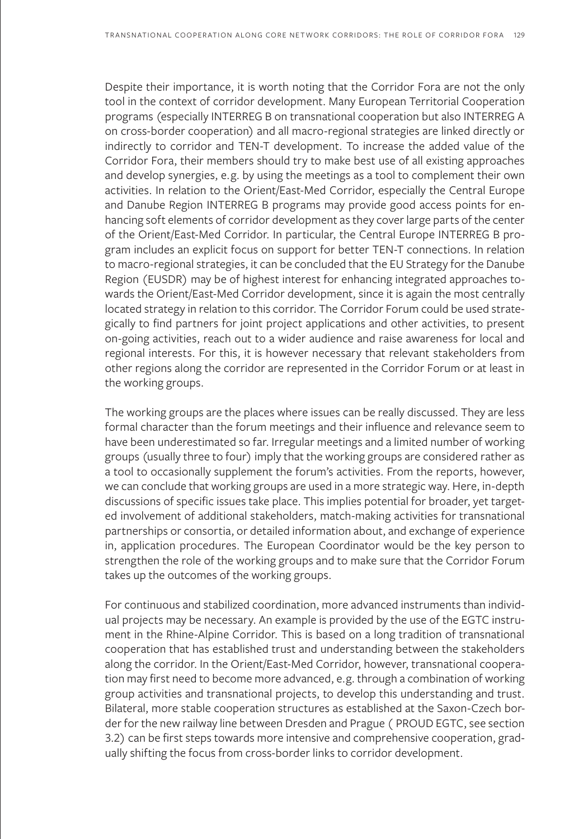Despite their importance, it is worth noting that the Corridor Fora are not the only tool in the context of corridor development. Many European Territorial Cooperation programs (especially INTERREG B on transnational cooperation but also INTERREG A on cross-border cooperation) and all macro-regional strategies are linked directly or indirectly to corridor and TEN-T development. To increase the added value of the Corridor Fora, their members should try to make best use of all existing approaches and develop synergies, e.g. by using the meetings as a tool to complement their own activities. In relation to the Orient/East-Med Corridor, especially the Central Europe and Danube Region INTERREG B programs may provide good access points for enhancing soft elements of corridor development as they cover large parts of the center of the Orient/East-Med Corridor. In particular, the Central Europe INTERREG B program includes an explicit focus on support for better TEN-T connections. In relation to macro-regional strategies, it can be concluded that the EU Strategy for the Danube Region (EUSDR) may be of highest interest for enhancing integrated approaches towards the Orient/East-Med Corridor development, since it is again the most centrally located strategy in relation to this corridor. The Corridor Forum could be used strategically to find partners for joint project applications and other activities, to present on-going activities, reach out to a wider audience and raise awareness for local and regional interests. For this, it is however necessary that relevant stakeholders from other regions along the corridor are represented in the Corridor Forum or at least in the working groups.

The working groups are the places where issues can be really discussed. They are less formal character than the forum meetings and their influence and relevance seem to have been underestimated so far. Irregular meetings and a limited number of working groups (usually three to four) imply that the working groups are considered rather as a tool to occasionally supplement the forum's activities. From the reports, however, we can conclude that working groups are used in a more strategic way. Here, in-depth discussions of specific issues take place. This implies potential for broader, yet targeted involvement of additional stakeholders, match-making activities for transnational partnerships or consortia, or detailed information about, and exchange of experience in, application procedures. The European Coordinator would be the key person to strengthen the role of the working groups and to make sure that the Corridor Forum takes up the outcomes of the working groups.

For continuous and stabilized coordination, more advanced instruments than individual projects may be necessary. An example is provided by the use of the EGTC instrument in the Rhine-Alpine Corridor. This is based on a long tradition of transnational cooperation that has established trust and understanding between the stakeholders along the corridor. In the Orient/East-Med Corridor, however, transnational cooperation may first need to become more advanced, e.g. through a combination of working group activities and transnational projects, to develop this understanding and trust. Bilateral, more stable cooperation structures as established at the Saxon-Czech border for the new railway line between Dresden and Prague ( PROUD EGTC, see section 3.2) can be first steps towards more intensive and comprehensive cooperation, gradually shifting the focus from cross-border links to corridor development.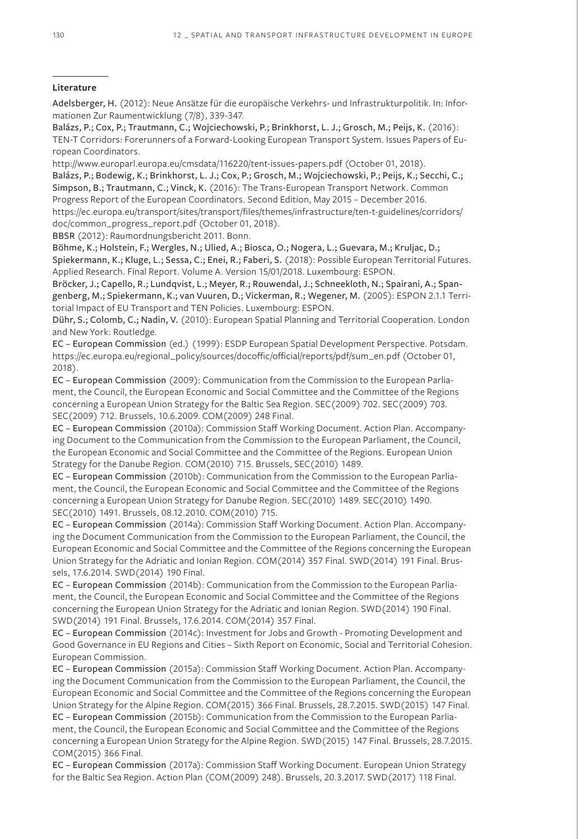#### **Literature**

Adelsberger, H. (2012): Neue Ansätze für die europäische Verkehrs- und Infrastrukturpolitik. In: Informationen Zur Raumentwicklung (7/8), 339-347.

Balázs, P.; Cox, P.; Trautmann, C.; Wojciechowski, P.; Brinkhorst, L. J.; Grosch, M.; Peijs, K. (2016): TEN-T Corridors: Forerunners of a Forward-Looking European Transport System. Issues Papers of European Coordinators.

http://www.europarl.europa.eu/cmsdata/116220/tent-issues-papers.pdf (October 01, 2018). Balázs, P.; Bodewig, K.; Brinkhorst, L. J.; Cox, P.; Grosch, M.; Wojciechowski, P.; Peijs, K.; Secchi, C.; Simpson, B.; Trautmann, C.; Vinck, K. (2016): The Trans-European Transport Network. Common Progress Report of the European Coordinators. Second Edition, May 2015 – December 2016.

https://ec.europa.eu/transport/sites/transport/files/themes/infrastructure/ten-t-guidelines/corridors/ doc/common\_progress\_report.pdf (October 01, 2018).

BBSR (2012): Raumordnungsbericht 2011. Bonn.

Böhme, K.; Holstein, F.; Wergles, N.; Ulied, A.; Biosca, O.; Nogera, L.; Guevara, M.; Kruljac, D.; Spiekermann, K.; Kluge, L.; Sessa, C.; Enei, R.; Faberi, S. (2018): Possible European Territorial Futures. Applied Research. Final Report. Volume A. Version 15/01/2018. Luxembourg: ESPON.

Bröcker, J.; Capello, R.; Lundqvist, L.; Meyer, R.; Rouwendal, J.; Schneekloth, N.; Spairani, A.; Spangenberg, M.; Spiekermann, K.; van Vuuren, D.; Vickerman, R.; Wegener, M. (2005): ESPON 2.1.1 Territorial Impact of EU Transport and TEN Policies. Luxembourg: ESPON.

Dühr, S.; Colomb, C.; Nadin, V. (2010): European Spatial Planning and Territorial Cooperation. London and New York: Routledge.

EC – European Commission (ed.) (1999): ESDP European Spatial Development Perspective. Potsdam. https://ec.europa.eu/regional\_policy/sources/docoffic/official/reports/pdf/sum\_en.pdf (October 01, 2018).

EC – European Commission (2009): Communication from the Commission to the European Parliament, the Council, the European Economic and Social Committee and the Committee of the Regions concerning a European Union Strategy for the Baltic Sea Region. SEC(2009) 702. SEC(2009) 703. SEC(2009) 712. Brussels, 10.6.2009. COM(2009) 248 Final.

EC – European Commission (2010a): Commission Staff Working Document. Action Plan. Accompanying Document to the Communication from the Commission to the European Parliament, the Council, the European Economic and Social Committee and the Committee of the Regions. European Union Strategy for the Danube Region. COM(2010) 715. Brussels, SEC(2010) 1489.

EC – European Commission (2010b): Communication from the Commission to the European Parliament, the Council, the European Economic and Social Committee and the Committee of the Regions concerning a European Union Strategy for Danube Region. SEC(2010) 1489. SEC(2010) 1490. SEC(2010) 1491. Brussels, 08.12.2010. COM(2010) 715.

EC – European Commission (2014a): Commission Staff Working Document. Action Plan. Accompanying the Document Communication from the Commission to the European Parliament, the Council, the European Economic and Social Committee and the Committee of the Regions concerning the European Union Strategy for the Adriatic and Ionian Region. COM(2014) 357 Final. SWD(2014) 191 Final. Brussels, 17.6.2014. SWD(2014) 190 Final.

EC – European Commission (2014b): Communication from the Commission to the European Parliament, the Council, the European Economic and Social Committee and the Committee of the Regions concerning the European Union Strategy for the Adriatic and Ionian Region. SWD(2014) 190 Final. SWD(2014) 191 Final. Brussels, 17.6.2014. COM(2014) 357 Final.

EC – European Commission (2014c): Investment for Jobs and Growth - Promoting Development and Good Governance in EU Regions and Cities – Sixth Report on Economic, Social and Territorial Cohesion. European Commission.

EC – European Commission (2015a): Commission Staff Working Document. Action Plan. Accompanying the Document Communication from the Commission to the European Parliament, the Council, the European Economic and Social Committee and the Committee of the Regions concerning the European Union Strategy for the Alpine Region. COM(2015) 366 Final. Brussels, 28.7.2015. SWD(2015) 147 Final. EC – European Commission (2015b): Communication from the Commission to the European Parliament, the Council, the European Economic and Social Committee and the Committee of the Regions concerning a European Union Strategy for the Alpine Region. SWD(2015) 147 Final. Brussels, 28.7.2015. COM(2015) 366 Final.

EC – European Commission (2017a): Commission Staff Working Document. European Union Strategy for the Baltic Sea Region. Action Plan (COM(2009) 248). Brussels, 20.3.2017. SWD(2017) 118 Final.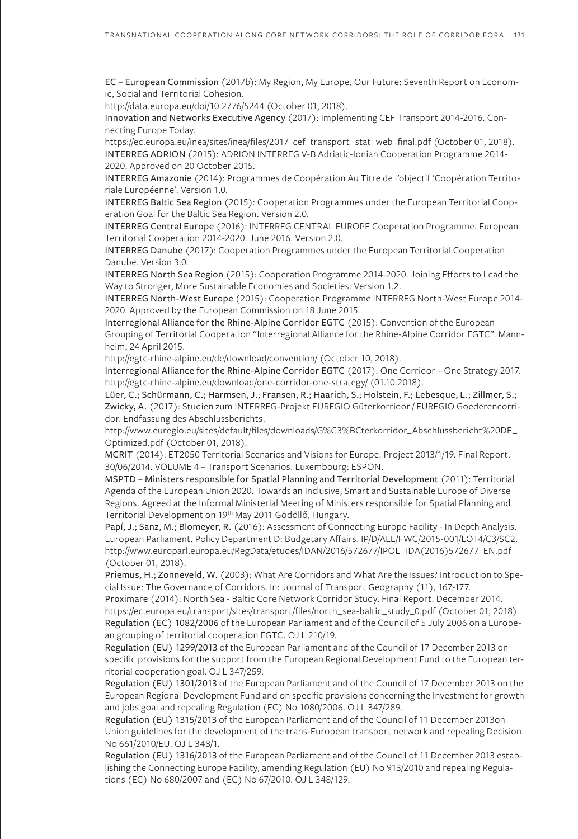EC – European Commission (2017b): My Region, My Europe, Our Future: Seventh Report on Economic, Social and Territorial Cohesion.

http://data.europa.eu/doi/10.2776/5244 (October 01, 2018).

Innovation and Networks Executive Agency (2017): Implementing CEF Transport 2014-2016. Connecting Europe Today.

https://ec.europa.eu/inea/sites/inea/files/2017\_cef\_transport\_stat\_web\_final.pdf (October 01, 2018). INTERREG ADRION (2015): ADRION INTERREG V-B Adriatic-Ionian Cooperation Programme 2014- 2020. Approved on 20 October 2015.

INTERREG Amazonie (2014): Programmes de Coopération Au Titre de l'objectif 'Coopération Territoriale Européenne'. Version 1.0.

INTERREG Baltic Sea Region (2015): Cooperation Programmes under the European Territorial Cooperation Goal for the Baltic Sea Region. Version 2.0.

INTERREG Central Europe (2016): INTERREG CENTRAL EUROPE Cooperation Programme. European Territorial Cooperation 2014-2020. June 2016. Version 2.0.

INTERREG Danube (2017): Cooperation Programmes under the European Territorial Cooperation. Danube. Version 3.0.

INTERREG North Sea Region (2015): Cooperation Programme 2014-2020. Joining Efforts to Lead the Way to Stronger, More Sustainable Economies and Societies. Version 1.2.

INTERREG North-West Europe (2015): Cooperation Programme INTERREG North-West Europe 2014- 2020. Approved by the European Commission on 18 June 2015.

Interregional Alliance for the Rhine-Alpine Corridor EGTC (2015): Convention of the European Grouping of Territorial Cooperation "Interregional Alliance for the Rhine-Alpine Corridor EGTC". Mannheim, 24 April 2015.

http://egtc-rhine-alpine.eu/de/download/convention/ (October 10, 2018).

Interregional Alliance for the Rhine-Alpine Corridor EGTC (2017): One Corridor – One Strategy 2017. http://egtc-rhine-alpine.eu/download/one-corridor-one-strategy/ (01.10.2018).

Lüer, C.; Schürmann, C.; Harmsen, J.; Fransen, R.; Haarich, S.; Holstein, F.; Lebesque, L.; Zillmer, S.; Zwicky, A. (2017): Studien zum INTERREG-Projekt EUREGIO Güterkorridor / EUREGIO Goederencorridor. Endfassung des Abschlussberichts.

http://www.euregio.eu/sites/default/files/downloads/G%C3%BCterkorridor\_Abschlussbericht%20DE\_ Optimized.pdf (October 01, 2018).

MCRIT (2014): ET2050 Territorial Scenarios and Visions for Europe. Project 2013/1/19. Final Report. 30/06/2014. VOLUME 4 – Transport Scenarios. Luxembourg: ESPON.

MSPTD – Ministers responsible for Spatial Planning and Territorial Development (2011): Territorial Agenda of the European Union 2020. Towards an Inclusive, Smart and Sustainable Europe of Diverse Regions. Agreed at the Informal Ministerial Meeting of Ministers responsible for Spatial Planning and Territorial Development on 19th May 2011 Gödöllő, Hungary.

Papí, J.; Sanz, M.; Blomeyer, R. (2016): Assessment of Connecting Europe Facility - In Depth Analysis. European Parliament. Policy Department D: Budgetary Affairs. IP/D/ALL/FWC/2015-001/LOT4/C3/SC2. http://www.europarl.europa.eu/RegData/etudes/IDAN/2016/572677/IPOL\_IDA(2016)572677\_EN.pdf (October 01, 2018).

Priemus, H.; Zonneveld, W. (2003): What Are Corridors and What Are the Issues? Introduction to Special Issue: The Governance of Corridors. In: Journal of Transport Geography (11), 167-177.

Proximare (2014): North Sea - Baltic Core Network Corridor Study. Final Report. December 2014. https://ec.europa.eu/transport/sites/transport/files/north\_sea-baltic\_study\_0.pdf (October 01, 2018). Regulation (EC) 1082/2006 of the European Parliament and of the Council of 5 July 2006 on a European grouping of territorial cooperation EGTC. OJ L 210/19.

Regulation (EU) 1299/2013 of the European Parliament and of the Council of 17 December 2013 on specific provisions for the support from the European Regional Development Fund to the European territorial cooperation goal. OJ L 347/259.

Regulation (EU) 1301/2013 of the European Parliament and of the Council of 17 December 2013 on the European Regional Development Fund and on specific provisions concerning the Investment for growth and jobs goal and repealing Regulation (EC) No 1080/2006. OJ L 347/289.

Regulation (EU) 1315/2013 of the European Parliament and of the Council of 11 December 2013on Union guidelines for the development of the trans-European transport network and repealing Decision No 661/2010/EU. OJ L 348/1.

Regulation (EU) 1316/2013 of the European Parliament and of the Council of 11 December 2013 establishing the Connecting Europe Facility, amending Regulation (EU) No 913/2010 and repealing Regulations (EC) No 680/2007 and (EC) No 67/2010. OJ L 348/129.